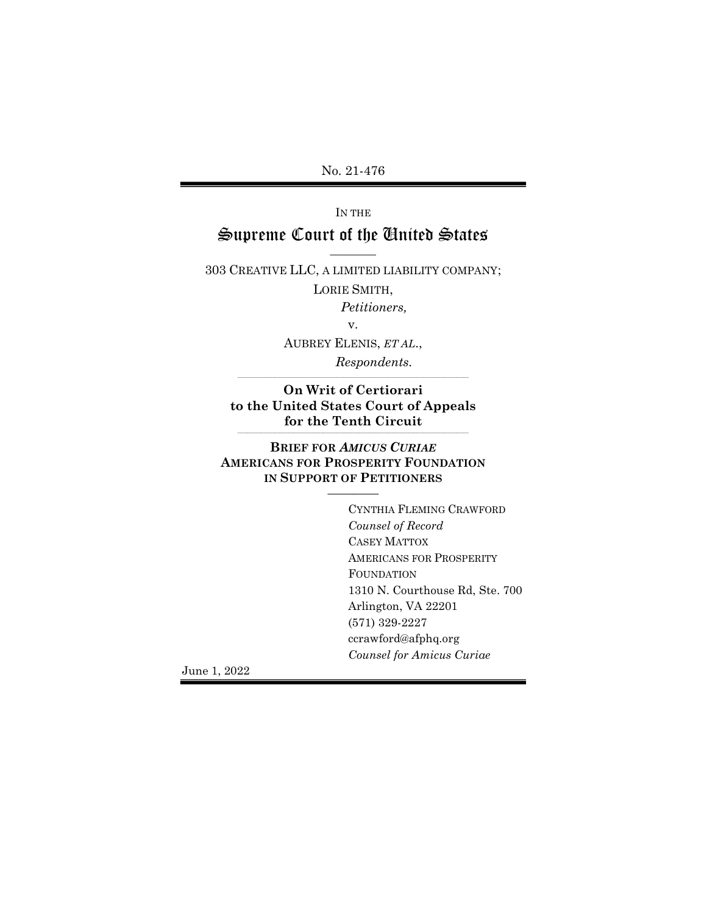No. 21-476

# IN THE Supreme Court of the United States

———— 303 CREATIVE LLC, A LIMITED LIABILITY COMPANY;

LORIE SMITH,

Petitioners,

AUBREY ELENIS, ET AL., Respondents.

On Writ of Certiorari to the United States Court of Appeals for the Tenth Circuit \_\_\_\_\_\_\_\_\_\_\_\_\_\_\_\_\_\_\_\_\_\_\_\_\_\_\_\_\_\_\_\_\_\_\_\_\_\_\_\_\_\_\_\_\_\_\_\_\_\_\_\_\_\_\_\_\_\_\_\_\_\_\_\_\_\_\_\_\_\_\_\_\_\_\_\_\_\_\_\_\_\_\_\_\_\_\_\_\_\_\_\_\_\_\_\_\_\_\_\_

\_\_\_\_\_\_\_\_\_\_\_\_\_\_\_\_\_\_\_\_\_\_\_\_\_\_\_\_\_\_\_\_\_\_\_\_\_\_\_\_\_\_\_\_\_\_\_\_\_\_\_\_\_\_\_\_\_\_\_\_\_\_\_\_\_\_\_\_\_\_\_\_\_\_\_\_\_\_\_\_\_\_\_\_\_\_\_\_\_\_\_\_\_\_\_\_\_\_\_\_

#### BRIEF FOR AMICUS CURIAE AMERICANS FOR PROSPERITY FOUNDATION IN SUPPORT OF PETITIONERS

————

 CYNTHIA FLEMING CRAWFORD Counsel of Record CASEY MATTOX AMERICANS FOR PROSPERITY FOUNDATION 1310 N. Courthouse Rd, Ste. 700 Arlington, VA 22201 (571) 329-2227 ccrawford@afphq.org Counsel for Amicus Curiae

June 1, 2022

v.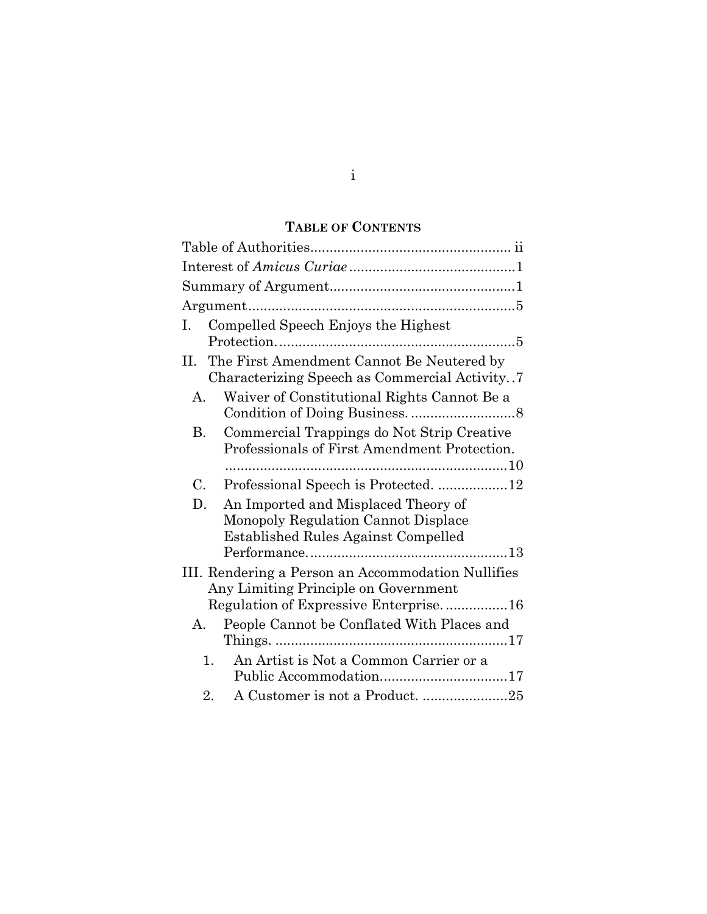## TABLE OF CONTENTS

| Compelled Speech Enjoys the Highest<br>1.                                                                                           |
|-------------------------------------------------------------------------------------------------------------------------------------|
| The First Amendment Cannot Be Neutered by<br>П.<br>Characterizing Speech as Commercial Activity                                     |
| Waiver of Constitutional Rights Cannot Be a<br>A.                                                                                   |
| Commercial Trappings do Not Strip Creative<br><b>B.</b><br>Professionals of First Amendment Protection.                             |
| $C_{\cdot}$<br>Professional Speech is Protected. 12                                                                                 |
| An Imported and Misplaced Theory of<br>D.<br>Monopoly Regulation Cannot Displace<br><b>Established Rules Against Compelled</b>      |
| III. Rendering a Person an Accommodation Nullifies<br>Any Limiting Principle on Government<br>Regulation of Expressive Enterprise16 |
| People Cannot be Conflated With Places and<br>А.                                                                                    |
| An Artist is Not a Common Carrier or a<br>1.                                                                                        |
| A Customer is not a Product. 25<br>2.                                                                                               |

i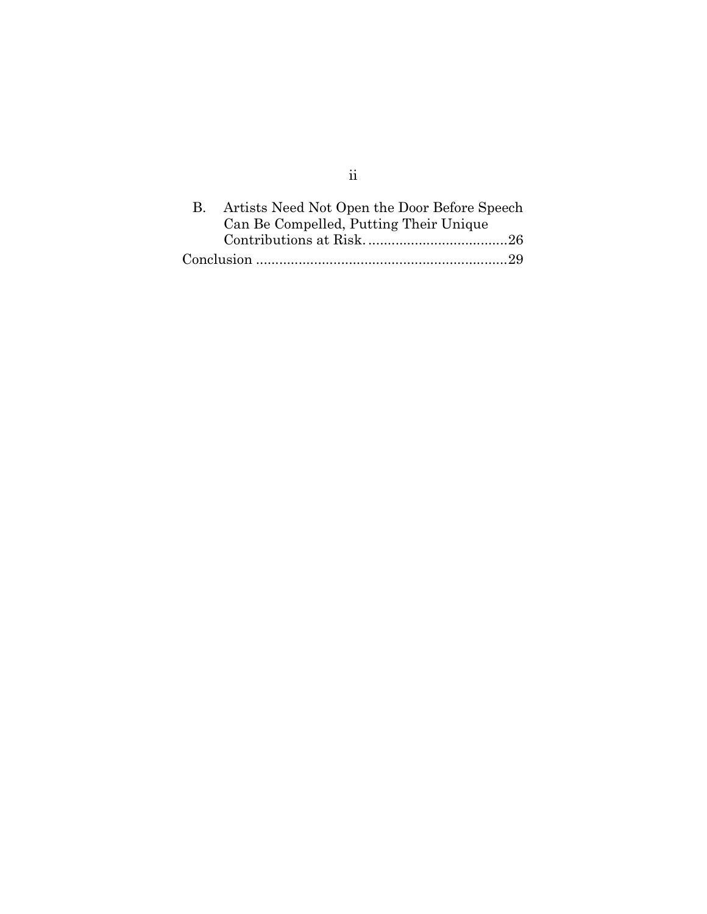| Artists Need Not Open the Door Before Speech |  |
|----------------------------------------------|--|
| Can Be Compelled, Putting Their Unique       |  |
|                                              |  |
|                                              |  |

ii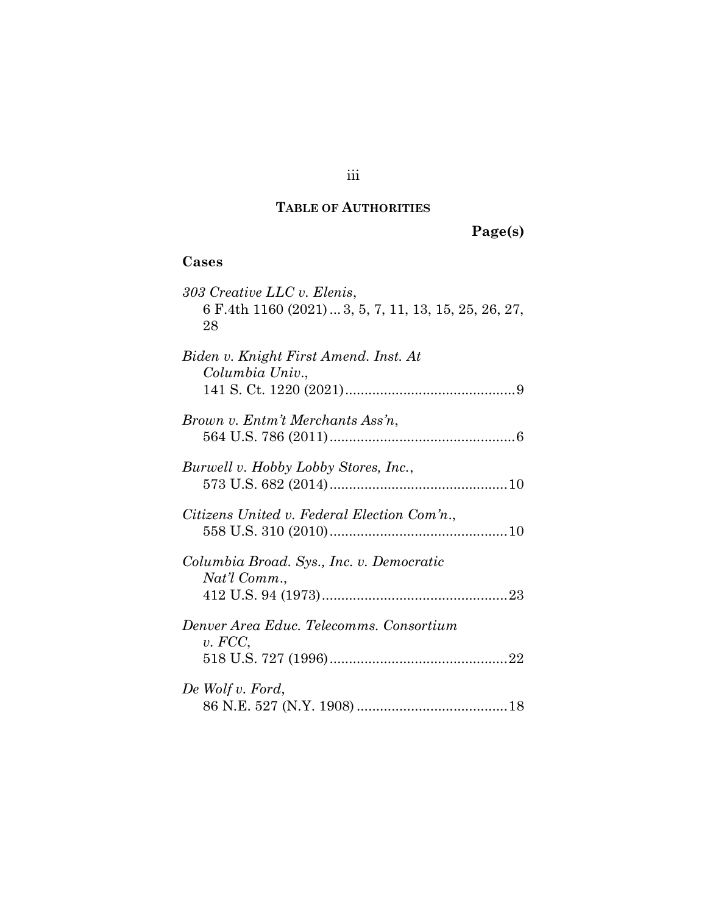## TABLE OF AUTHORITIES

Page(s)

## Cases

| 303 Creative LLC v. Elenis,<br>6 F.4th 1160 (2021)  3, 5, 7, 11, 13, 15, 25, 26, 27,<br>28 |
|--------------------------------------------------------------------------------------------|
| Biden v. Knight First Amend. Inst. At<br>Columbia Univ.,                                   |
| Brown v. Entm't Merchants Ass'n,                                                           |
| Burwell v. Hobby Lobby Stores, Inc.,                                                       |
| Citizens United v. Federal Election Com'n.,                                                |
| Columbia Broad. Sys., Inc. v. Democratic<br>Nat'l Comm.,                                   |
| Denver Area Educ. Telecomms. Consortium<br>v. FCC,                                         |
| De Wolf v. Ford,                                                                           |

## iii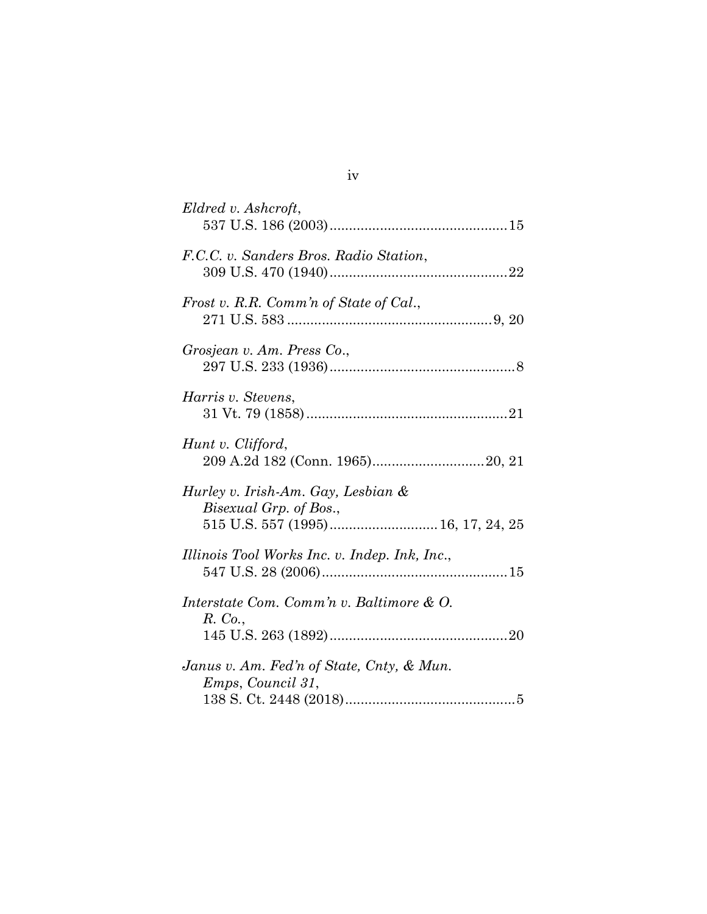| Eldred v. Ashcroft,                                                                                |
|----------------------------------------------------------------------------------------------------|
| F.C.C. v. Sanders Bros. Radio Station,                                                             |
| Frost v. R.R. Comm'n of State of Cal.,                                                             |
| Grosjean v. Am. Press Co.,                                                                         |
| Harris v. Stevens,                                                                                 |
| Hunt v. Clifford,                                                                                  |
| Hurley v. Irish-Am. Gay, Lesbian &<br>Bisexual Grp. of Bos.,<br>515 U.S. 557 (1995) 16, 17, 24, 25 |
| Illinois Tool Works Inc. v. Indep. Ink, Inc.,                                                      |
| Interstate Com. Comm'n v. Baltimore & O.<br>R. Co.,                                                |
| Janus v. Am. Fed'n of State, Cnty, & Mun.<br>Emps, Council 31,                                     |

iv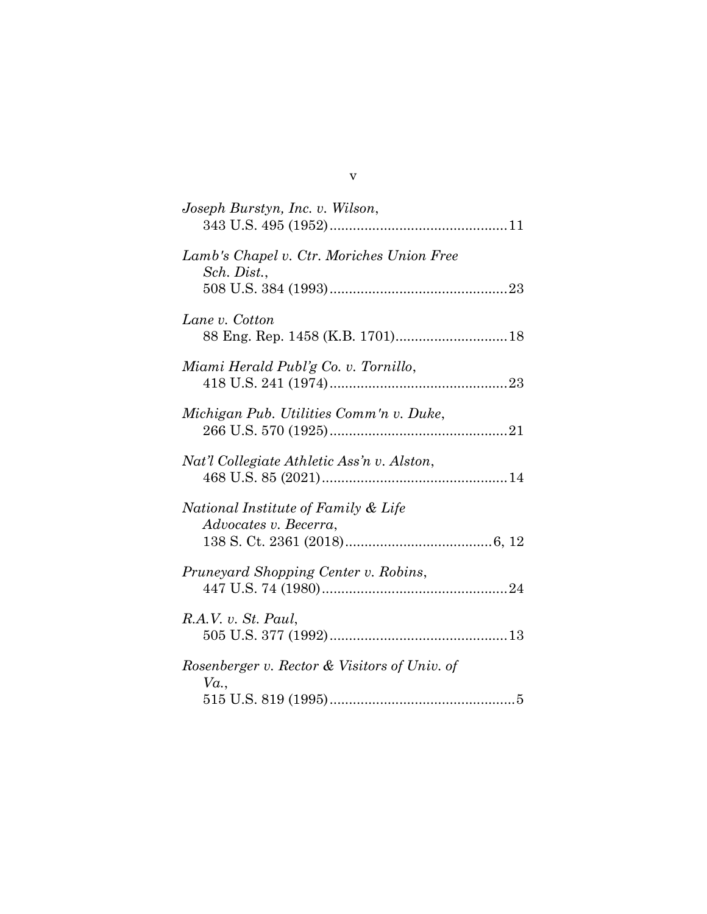v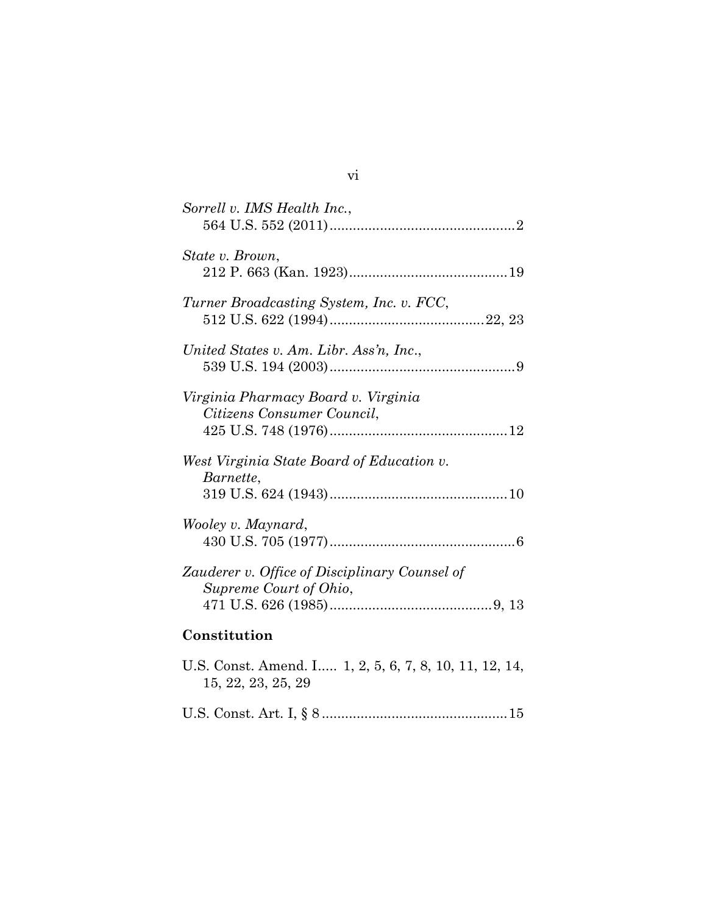| Sorrell v. IMS Health Inc.,                                                  |
|------------------------------------------------------------------------------|
| State v. Brown,                                                              |
| Turner Broadcasting System, Inc. v. FCC,                                     |
| United States v. Am. Libr. Ass'n, Inc.,                                      |
| Virginia Pharmacy Board v. Virginia<br>Citizens Consumer Council,            |
| West Virginia State Board of Education v.<br>Barnette,                       |
| Wooley v. Maynard,                                                           |
| Zauderer v. Office of Disciplinary Counsel of<br>Supreme Court of Ohio,      |
| Constitution                                                                 |
| U.S. Const. Amend. I 1, 2, 5, 6, 7, 8, 10, 11, 12, 14,<br>15, 22, 23, 25, 29 |

vi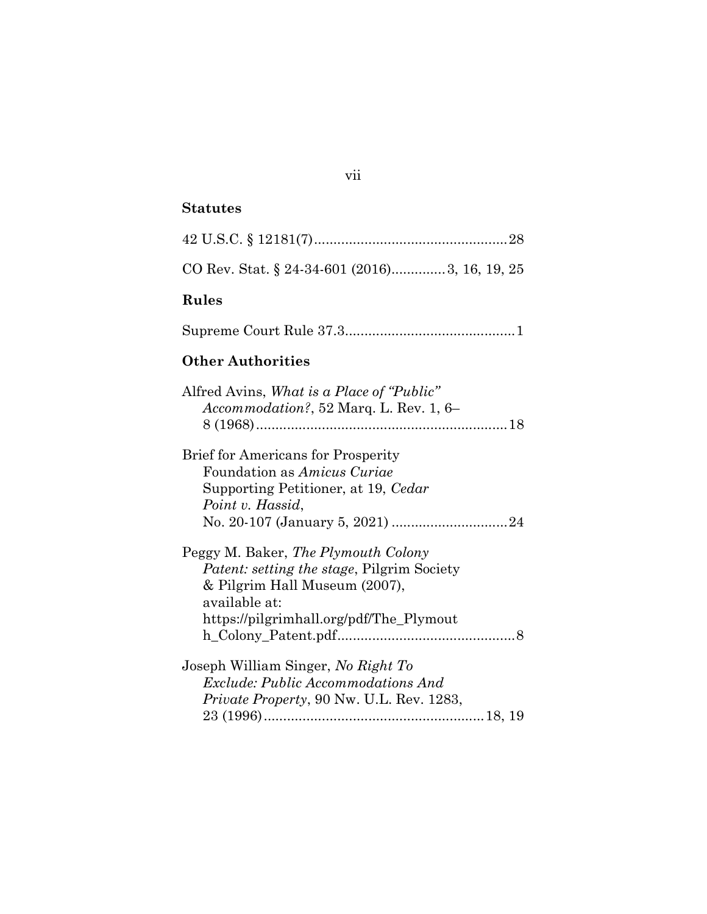## Statutes

| CO Rev. Stat. § 24-34-601 (2016)3, 16, 19, 25                                                                                                                                         |
|---------------------------------------------------------------------------------------------------------------------------------------------------------------------------------------|
| Rules                                                                                                                                                                                 |
|                                                                                                                                                                                       |
| <b>Other Authorities</b>                                                                                                                                                              |
| Alfred Avins, <i>What is a Place of "Public"</i><br>$A ccommodation$ ?, 52 Marq. L. Rev. 1, 6–                                                                                        |
| <b>Brief for Americans for Prosperity</b><br>Foundation as Amicus Curiae<br>Supporting Petitioner, at 19, Cedar<br>Point v. Hassid,                                                   |
| Peggy M. Baker, The Plymouth Colony<br><i>Patent: setting the stage, Pilgrim Society</i><br>& Pilgrim Hall Museum (2007),<br>available at:<br>https://pilgrimhall.org/pdf/The_Plymout |
| Joseph William Singer, No Right To<br>Exclude: Public Accommodations And<br><i>Private Property, 90 Nw. U.L. Rev. 1283,</i>                                                           |

## vii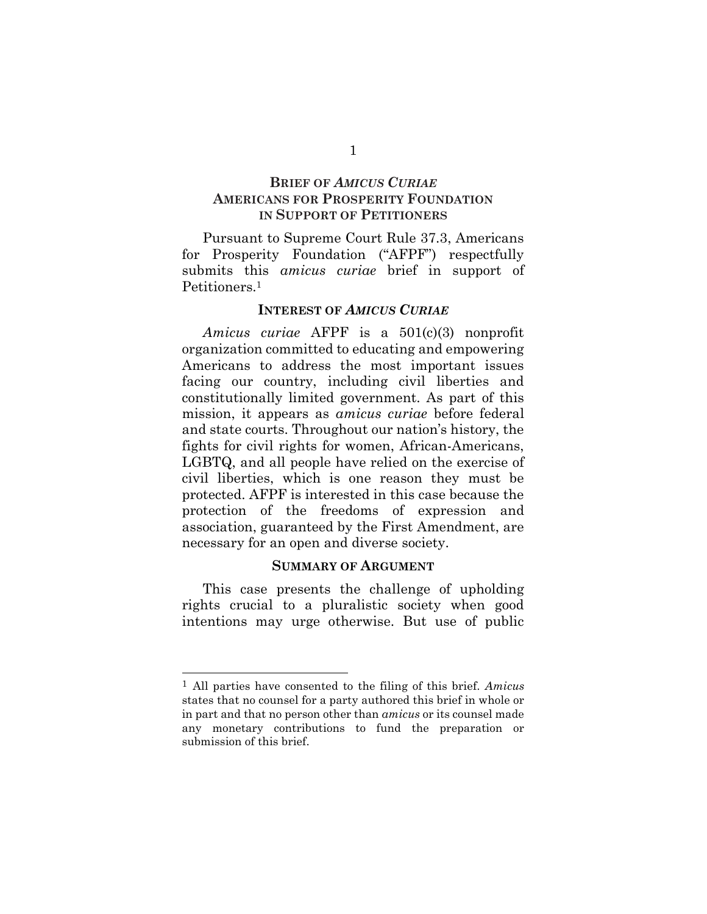#### BRIEF OF AMICUS CURIAE AMERICANS FOR PROSPERITY FOUNDATION IN SUPPORT OF PETITIONERS

Pursuant to Supreme Court Rule 37.3, Americans for Prosperity Foundation ("AFPF") respectfully submits this *amicus curiae* brief in support of Petitioners.<sup>1</sup>

#### INTEREST OF AMICUS CURIAE

Amicus curiae AFPF is a 501(c)(3) nonprofit organization committed to educating and empowering Americans to address the most important issues facing our country, including civil liberties and constitutionally limited government. As part of this mission, it appears as amicus curiae before federal and state courts. Throughout our nation's history, the fights for civil rights for women, African-Americans, LGBTQ, and all people have relied on the exercise of civil liberties, which is one reason they must be protected. AFPF is interested in this case because the protection of the freedoms of expression and association, guaranteed by the First Amendment, are necessary for an open and diverse society.

#### SUMMARY OF ARGUMENT

This case presents the challenge of upholding rights crucial to a pluralistic society when good intentions may urge otherwise. But use of public

<sup>1</sup> All parties have consented to the filing of this brief. Amicus states that no counsel for a party authored this brief in whole or in part and that no person other than amicus or its counsel made any monetary contributions to fund the preparation or submission of this brief.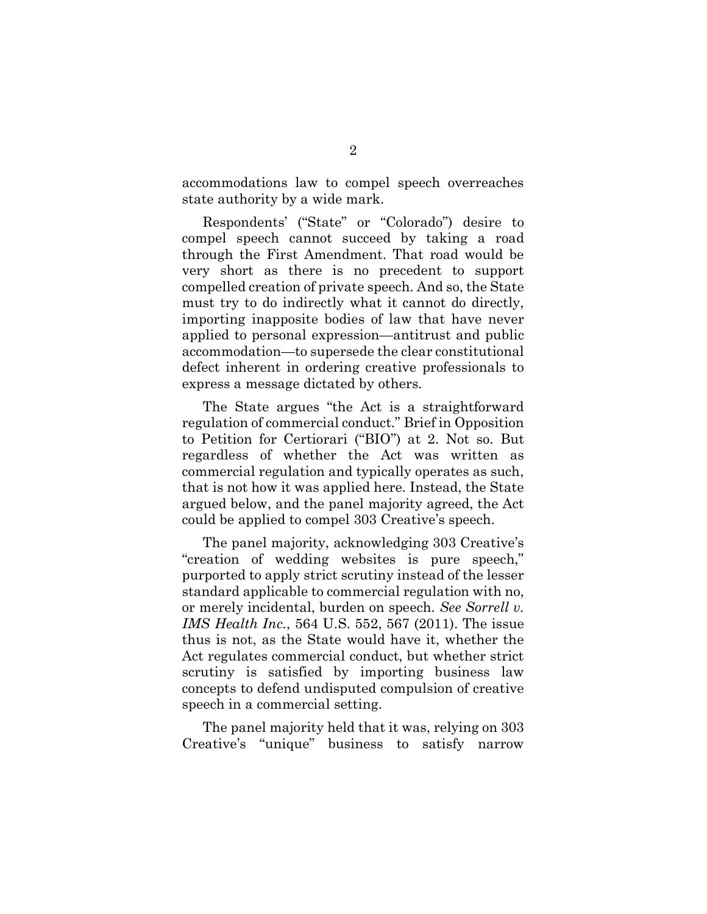accommodations law to compel speech overreaches state authority by a wide mark.

Respondents' ("State" or "Colorado") desire to compel speech cannot succeed by taking a road through the First Amendment. That road would be very short as there is no precedent to support compelled creation of private speech. And so, the State must try to do indirectly what it cannot do directly, importing inapposite bodies of law that have never applied to personal expression—antitrust and public accommodation—to supersede the clear constitutional defect inherent in ordering creative professionals to express a message dictated by others.

The State argues "the Act is a straightforward regulation of commercial conduct." Brief in Opposition to Petition for Certiorari ("BIO") at 2. Not so. But regardless of whether the Act was written as commercial regulation and typically operates as such, that is not how it was applied here. Instead, the State argued below, and the panel majority agreed, the Act could be applied to compel 303 Creative's speech.

The panel majority, acknowledging 303 Creative's "creation of wedding websites is pure speech," purported to apply strict scrutiny instead of the lesser standard applicable to commercial regulation with no, or merely incidental, burden on speech. See Sorrell v. IMS Health Inc., 564 U.S. 552, 567 (2011). The issue thus is not, as the State would have it, whether the Act regulates commercial conduct, but whether strict scrutiny is satisfied by importing business law concepts to defend undisputed compulsion of creative speech in a commercial setting.

The panel majority held that it was, relying on 303 Creative's "unique" business to satisfy narrow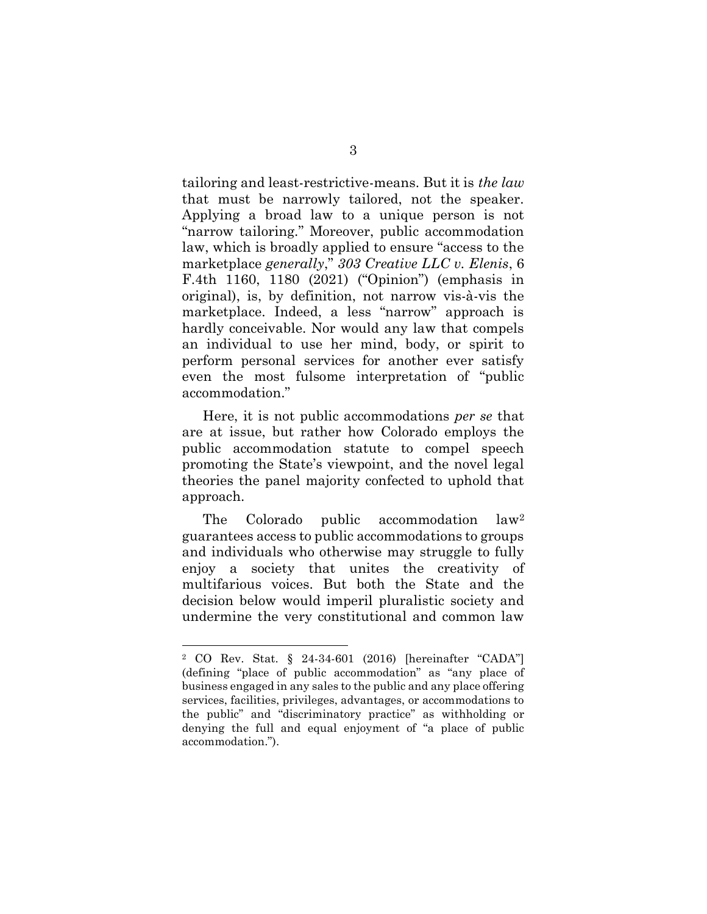tailoring and least-restrictive-means. But it is the law that must be narrowly tailored, not the speaker. Applying a broad law to a unique person is not "narrow tailoring." Moreover, public accommodation law, which is broadly applied to ensure "access to the marketplace generally," 303 Creative LLC v. Elenis, 6 F.4th 1160, 1180 (2021) ("Opinion") (emphasis in original), is, by definition, not narrow vis-à-vis the marketplace. Indeed, a less "narrow" approach is hardly conceivable. Nor would any law that compels an individual to use her mind, body, or spirit to perform personal services for another ever satisfy even the most fulsome interpretation of "public accommodation."

Here, it is not public accommodations per se that are at issue, but rather how Colorado employs the public accommodation statute to compel speech promoting the State's viewpoint, and the novel legal theories the panel majority confected to uphold that approach.

The Colorado public accommodation law<sup>2</sup> guarantees access to public accommodations to groups and individuals who otherwise may struggle to fully enjoy a society that unites the creativity of multifarious voices. But both the State and the decision below would imperil pluralistic society and undermine the very constitutional and common law

<sup>2</sup> CO Rev. Stat. § 24-34-601 (2016) [hereinafter "CADA"] (defining "place of public accommodation" as "any place of business engaged in any sales to the public and any place offering services, facilities, privileges, advantages, or accommodations to the public" and "discriminatory practice" as withholding or denying the full and equal enjoyment of "a place of public accommodation.").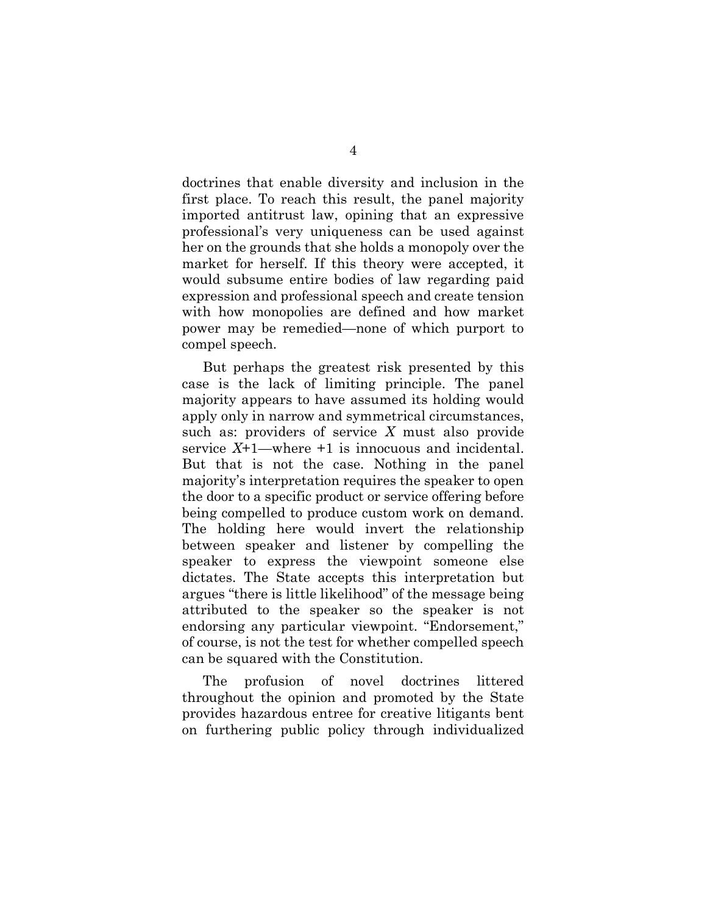doctrines that enable diversity and inclusion in the first place. To reach this result, the panel majority imported antitrust law, opining that an expressive professional's very uniqueness can be used against her on the grounds that she holds a monopoly over the market for herself. If this theory were accepted, it would subsume entire bodies of law regarding paid expression and professional speech and create tension with how monopolies are defined and how market power may be remedied—none of which purport to compel speech.

But perhaps the greatest risk presented by this case is the lack of limiting principle. The panel majority appears to have assumed its holding would apply only in narrow and symmetrical circumstances, such as: providers of service X must also provide service  $X+1$ —where  $+1$  is innocuous and incidental. But that is not the case. Nothing in the panel majority's interpretation requires the speaker to open the door to a specific product or service offering before being compelled to produce custom work on demand. The holding here would invert the relationship between speaker and listener by compelling the speaker to express the viewpoint someone else dictates. The State accepts this interpretation but argues "there is little likelihood" of the message being attributed to the speaker so the speaker is not endorsing any particular viewpoint. "Endorsement," of course, is not the test for whether compelled speech can be squared with the Constitution.

The profusion of novel doctrines littered throughout the opinion and promoted by the State provides hazardous entree for creative litigants bent on furthering public policy through individualized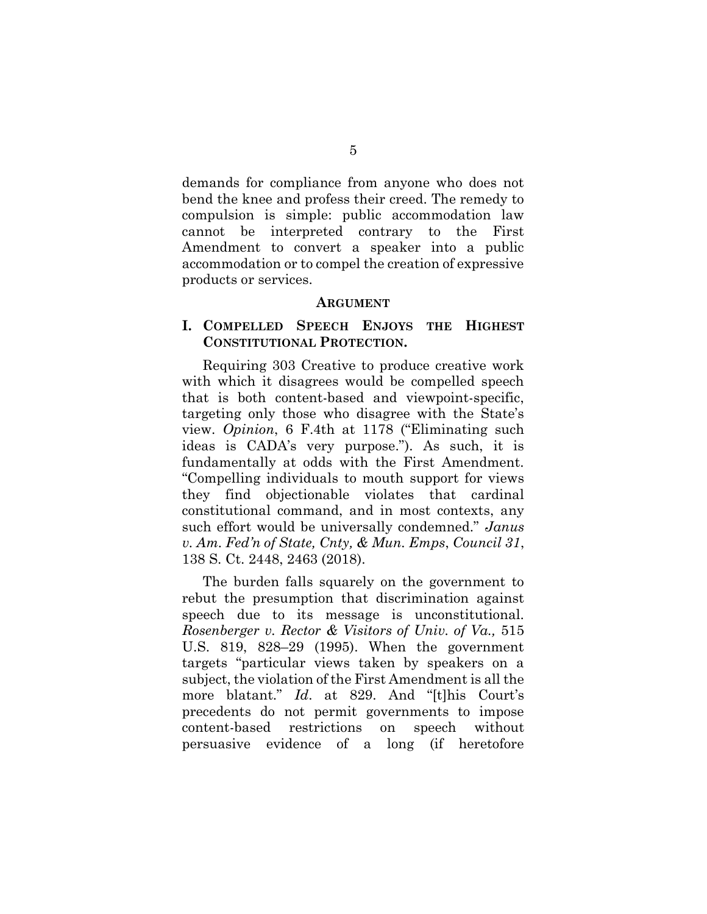demands for compliance from anyone who does not bend the knee and profess their creed. The remedy to compulsion is simple: public accommodation law cannot be interpreted contrary to the First Amendment to convert a speaker into a public accommodation or to compel the creation of expressive products or services.

#### ARGUMENT

### I. COMPELLED SPEECH ENJOYS THE HIGHEST CONSTITUTIONAL PROTECTION.

Requiring 303 Creative to produce creative work with which it disagrees would be compelled speech that is both content-based and viewpoint-specific, targeting only those who disagree with the State's view. Opinion, 6 F.4th at 1178 ("Eliminating such ideas is CADA's very purpose."). As such, it is fundamentally at odds with the First Amendment. "Compelling individuals to mouth support for views they find objectionable violates that cardinal constitutional command, and in most contexts, any such effort would be universally condemned." Janus v. Am. Fed'n of State, Cnty, & Mun. Emps, Council 31, 138 S. Ct. 2448, 2463 (2018).

The burden falls squarely on the government to rebut the presumption that discrimination against speech due to its message is unconstitutional. Rosenberger v. Rector & Visitors of Univ. of Va., 515 U.S. 819, 828–29 (1995). When the government targets "particular views taken by speakers on a subject, the violation of the First Amendment is all the more blatant." Id. at 829. And "[t]his Court's precedents do not permit governments to impose content-based restrictions on speech without persuasive evidence of a long (if heretofore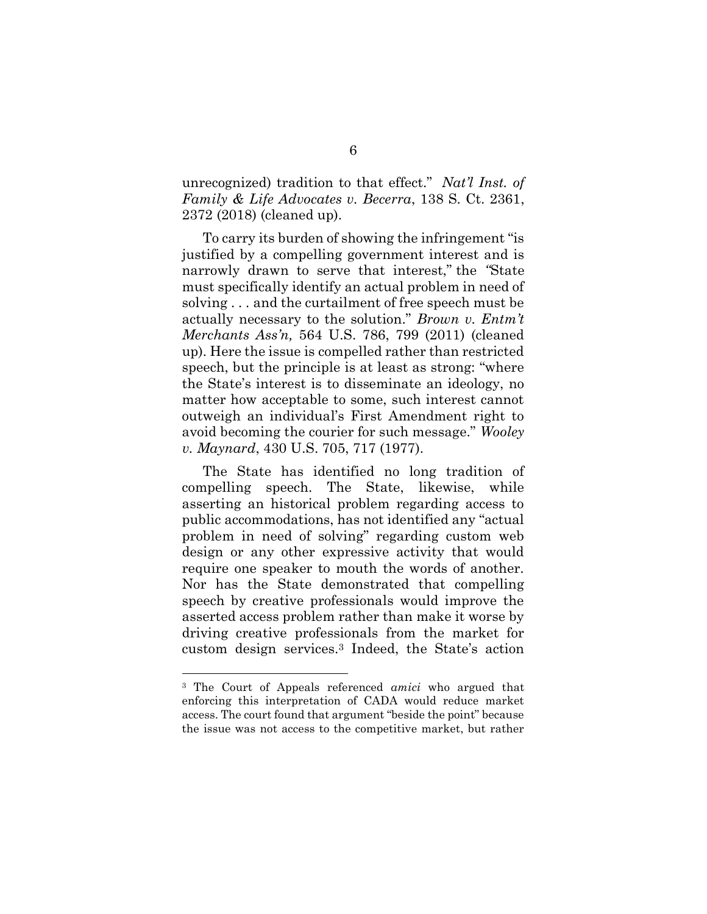unrecognized) tradition to that effect." Nat'l Inst. of Family & Life Advocates v. Becerra, 138 S. Ct. 2361, 2372 (2018) (cleaned up).

To carry its burden of showing the infringement "is justified by a compelling government interest and is narrowly drawn to serve that interest," the "State must specifically identify an actual problem in need of solving . . . and the curtailment of free speech must be actually necessary to the solution." Brown v. Entm't Merchants Ass'n, 564 U.S. 786, 799 (2011) (cleaned up). Here the issue is compelled rather than restricted speech, but the principle is at least as strong: "where the State's interest is to disseminate an ideology, no matter how acceptable to some, such interest cannot outweigh an individual's First Amendment right to avoid becoming the courier for such message." Wooley v. Maynard, 430 U.S. 705, 717 (1977).

The State has identified no long tradition of compelling speech. The State, likewise, while asserting an historical problem regarding access to public accommodations, has not identified any "actual problem in need of solving" regarding custom web design or any other expressive activity that would require one speaker to mouth the words of another. Nor has the State demonstrated that compelling speech by creative professionals would improve the asserted access problem rather than make it worse by driving creative professionals from the market for custom design services.3 Indeed, the State's action

<sup>3</sup> The Court of Appeals referenced amici who argued that enforcing this interpretation of CADA would reduce market access. The court found that argument "beside the point" because the issue was not access to the competitive market, but rather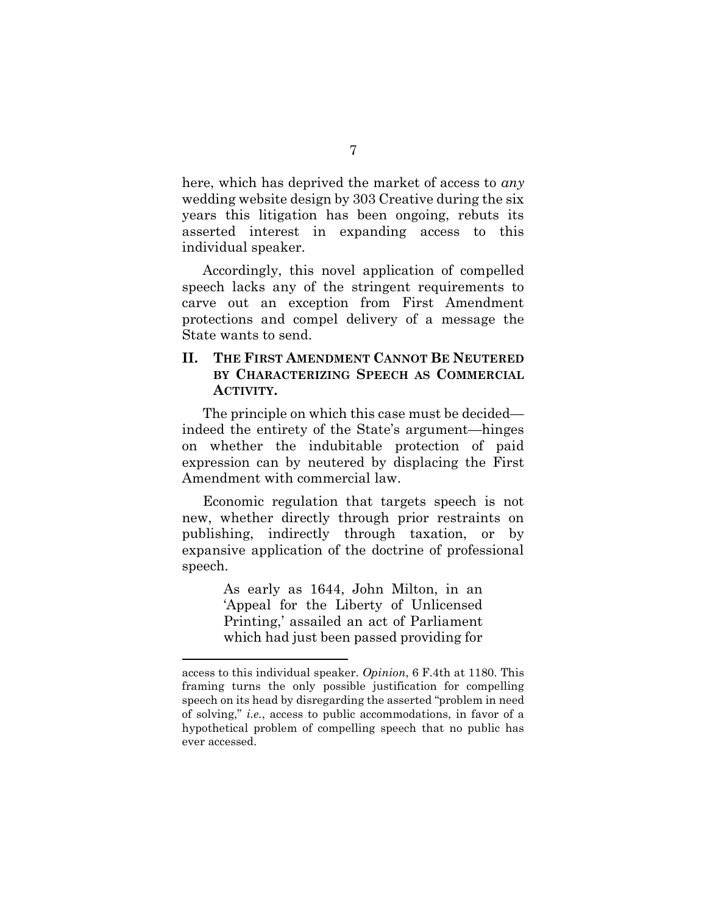here, which has deprived the market of access to *any* wedding website design by 303 Creative during the six years this litigation has been ongoing, rebuts its asserted interest in expanding access to this individual speaker.

Accordingly, this novel application of compelled speech lacks any of the stringent requirements to carve out an exception from First Amendment protections and compel delivery of a message the State wants to send.

### II. THE FIRST AMENDMENT CANNOT BE NEUTERED BY CHARACTERIZING SPEECH AS COMMERCIAL ACTIVITY.

The principle on which this case must be decided indeed the entirety of the State's argument—hinges on whether the indubitable protection of paid expression can by neutered by displacing the First Amendment with commercial law.

Economic regulation that targets speech is not new, whether directly through prior restraints on publishing, indirectly through taxation, or by expansive application of the doctrine of professional speech.

> As early as 1644, John Milton, in an 'Appeal for the Liberty of Unlicensed Printing,' assailed an act of Parliament which had just been passed providing for

access to this individual speaker. Opinion, 6 F.4th at 1180. This framing turns the only possible justification for compelling speech on its head by disregarding the asserted "problem in need of solving," i.e., access to public accommodations, in favor of a hypothetical problem of compelling speech that no public has ever accessed.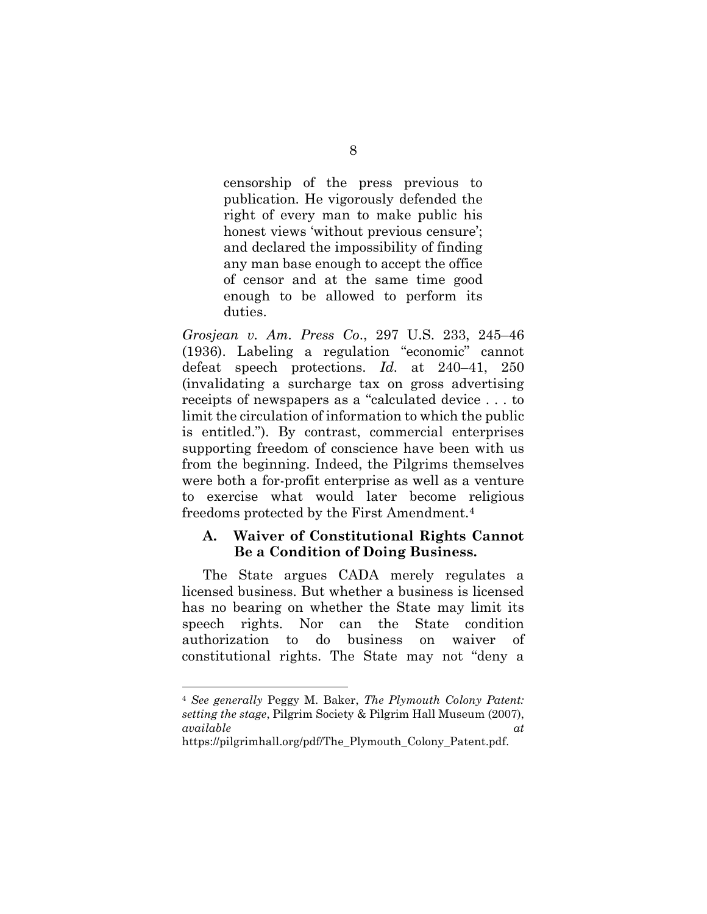censorship of the press previous to publication. He vigorously defended the right of every man to make public his honest views 'without previous censure'; and declared the impossibility of finding any man base enough to accept the office of censor and at the same time good enough to be allowed to perform its duties.

Grosjean v. Am. Press Co., 297 U.S. 233, 245–46 (1936). Labeling a regulation "economic" cannot defeat speech protections. Id. at 240–41, 250 (invalidating a surcharge tax on gross advertising receipts of newspapers as a "calculated device . . . to limit the circulation of information to which the public is entitled."). By contrast, commercial enterprises supporting freedom of conscience have been with us from the beginning. Indeed, the Pilgrims themselves were both a for-profit enterprise as well as a venture to exercise what would later become religious freedoms protected by the First Amendment.<sup>4</sup>

#### A. Waiver of Constitutional Rights Cannot Be a Condition of Doing Business.

The State argues CADA merely regulates a licensed business. But whether a business is licensed has no bearing on whether the State may limit its speech rights. Nor can the State condition authorization to do business on waiver of constitutional rights. The State may not "deny a

https://pilgrimhall.org/pdf/The\_Plymouth\_Colony\_Patent.pdf.

<sup>4</sup> See generally Peggy M. Baker, The Plymouth Colony Patent: setting the stage, Pilgrim Society & Pilgrim Hall Museum (2007), available at  $\alpha t$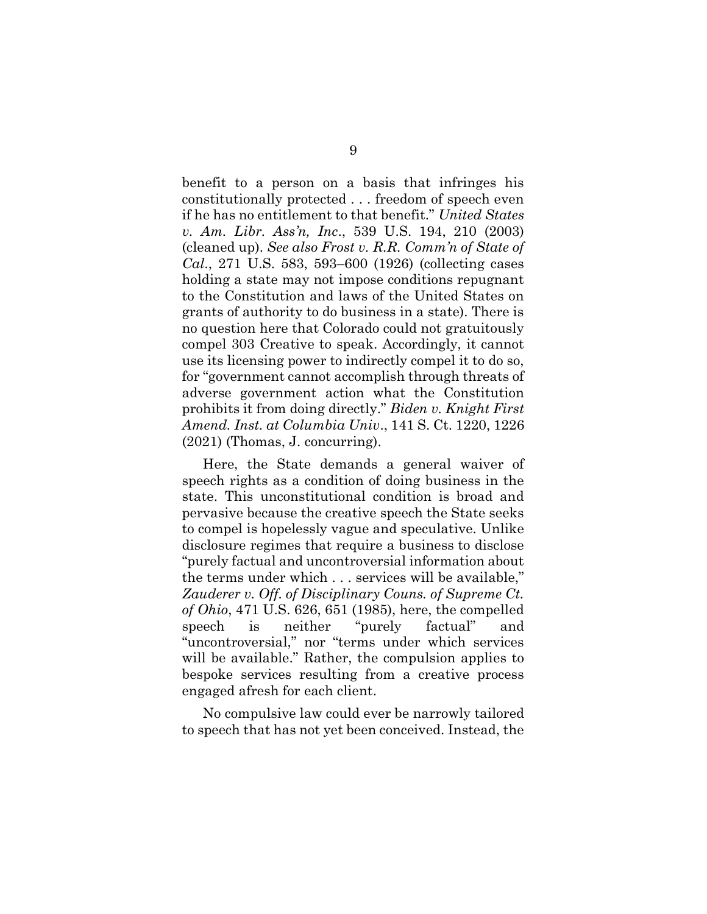benefit to a person on a basis that infringes his constitutionally protected . . . freedom of speech even if he has no entitlement to that benefit." United States v. Am. Libr. Ass'n, Inc., 539 U.S. 194, 210 (2003) (cleaned up). See also Frost v. R.R. Comm'n of State of Cal., 271 U.S. 583, 593–600 (1926) (collecting cases holding a state may not impose conditions repugnant to the Constitution and laws of the United States on grants of authority to do business in a state). There is no question here that Colorado could not gratuitously compel 303 Creative to speak. Accordingly, it cannot use its licensing power to indirectly compel it to do so, for "government cannot accomplish through threats of adverse government action what the Constitution prohibits it from doing directly." Biden v. Knight First Amend. Inst. at Columbia Univ., 141 S. Ct. 1220, 1226 (2021) (Thomas, J. concurring).

Here, the State demands a general waiver of speech rights as a condition of doing business in the state. This unconstitutional condition is broad and pervasive because the creative speech the State seeks to compel is hopelessly vague and speculative. Unlike disclosure regimes that require a business to disclose "purely factual and uncontroversial information about the terms under which . . . services will be available," Zauderer v. Off. of Disciplinary Couns. of Supreme Ct. of Ohio, 471 U.S. 626, 651 (1985), here, the compelled speech is neither "purely factual" and "uncontroversial," nor "terms under which services will be available." Rather, the compulsion applies to bespoke services resulting from a creative process engaged afresh for each client.

No compulsive law could ever be narrowly tailored to speech that has not yet been conceived. Instead, the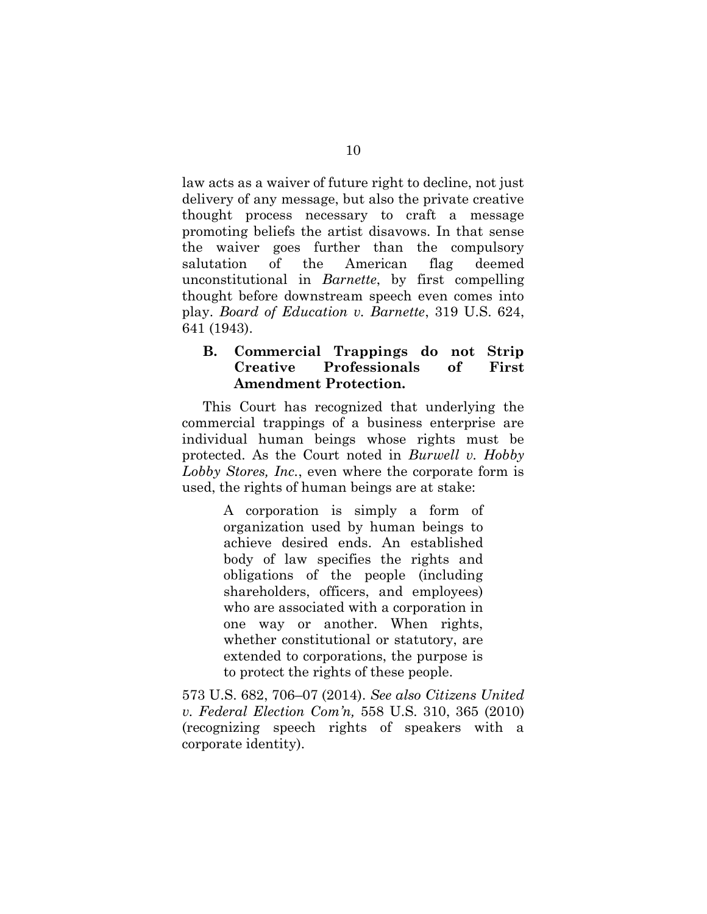law acts as a waiver of future right to decline, not just delivery of any message, but also the private creative thought process necessary to craft a message promoting beliefs the artist disavows. In that sense the waiver goes further than the compulsory salutation of the American flag deemed unconstitutional in Barnette, by first compelling thought before downstream speech even comes into play. Board of Education v. Barnette, 319 U.S. 624, 641 (1943).

#### B. Commercial Trappings do not Strip Creative Professionals of First Amendment Protection.

This Court has recognized that underlying the commercial trappings of a business enterprise are individual human beings whose rights must be protected. As the Court noted in Burwell v. Hobby Lobby Stores, Inc., even where the corporate form is used, the rights of human beings are at stake:

> A corporation is simply a form of organization used by human beings to achieve desired ends. An established body of law specifies the rights and obligations of the people (including shareholders, officers, and employees) who are associated with a corporation in one way or another. When rights, whether constitutional or statutory, are extended to corporations, the purpose is to protect the rights of these people.

573 U.S. 682, 706–07 (2014). See also Citizens United v. Federal Election Com'n, 558 U.S. 310, 365 (2010) (recognizing speech rights of speakers with a corporate identity).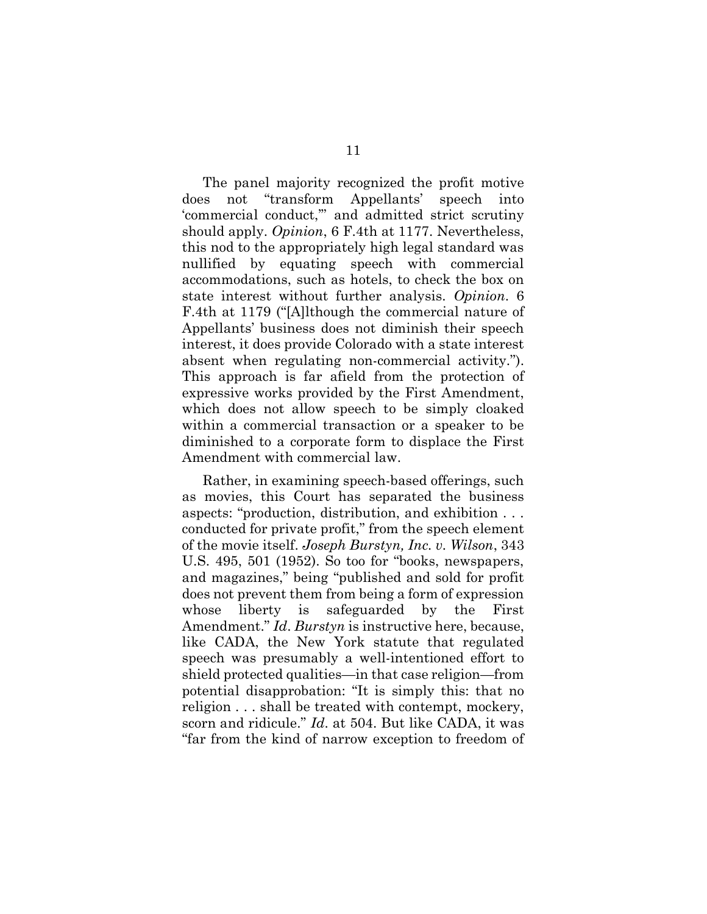The panel majority recognized the profit motive does not "transform Appellants' speech into 'commercial conduct,'" and admitted strict scrutiny should apply. Opinion, 6 F.4th at 1177. Nevertheless, this nod to the appropriately high legal standard was nullified by equating speech with commercial accommodations, such as hotels, to check the box on state interest without further analysis. Opinion. 6 F.4th at 1179 ("[A]lthough the commercial nature of Appellants' business does not diminish their speech interest, it does provide Colorado with a state interest absent when regulating non-commercial activity."). This approach is far afield from the protection of expressive works provided by the First Amendment, which does not allow speech to be simply cloaked within a commercial transaction or a speaker to be diminished to a corporate form to displace the First Amendment with commercial law.

Rather, in examining speech-based offerings, such as movies, this Court has separated the business aspects: "production, distribution, and exhibition . . . conducted for private profit," from the speech element of the movie itself. Joseph Burstyn, Inc. v. Wilson, 343 U.S. 495, 501 (1952). So too for "books, newspapers, and magazines," being "published and sold for profit does not prevent them from being a form of expression whose liberty is safeguarded by the First Amendment." Id. Burstyn is instructive here, because, like CADA, the New York statute that regulated speech was presumably a well-intentioned effort to shield protected qualities—in that case religion—from potential disapprobation: "It is simply this: that no religion . . . shall be treated with contempt, mockery, scorn and ridicule." Id. at 504. But like CADA, it was "far from the kind of narrow exception to freedom of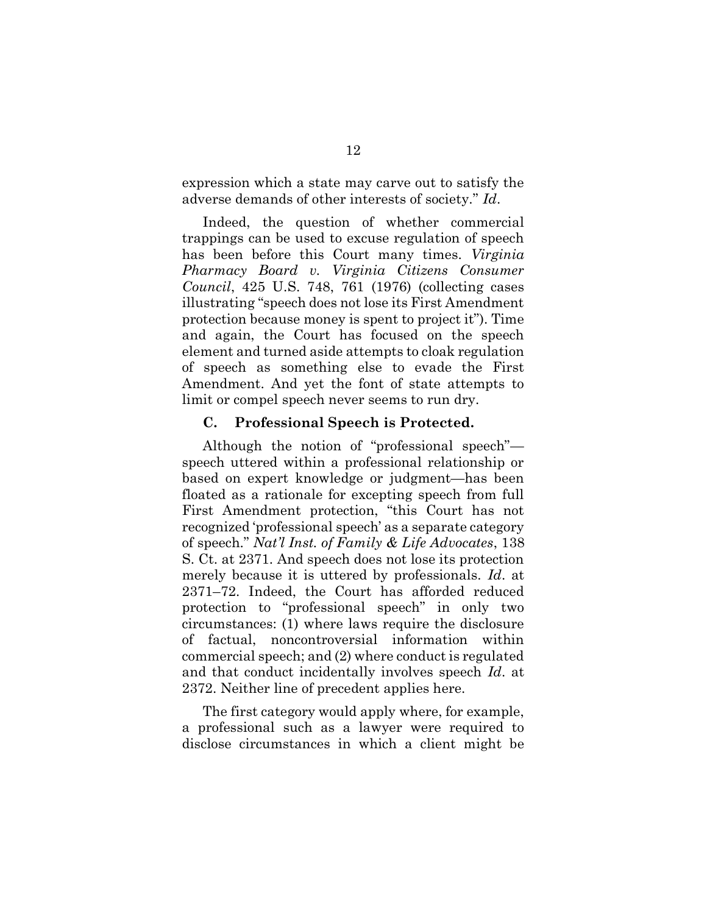expression which a state may carve out to satisfy the adverse demands of other interests of society." Id.

Indeed, the question of whether commercial trappings can be used to excuse regulation of speech has been before this Court many times. Virginia Pharmacy Board v. Virginia Citizens Consumer Council, 425 U.S. 748, 761 (1976) (collecting cases illustrating "speech does not lose its First Amendment protection because money is spent to project it"). Time and again, the Court has focused on the speech element and turned aside attempts to cloak regulation of speech as something else to evade the First Amendment. And yet the font of state attempts to limit or compel speech never seems to run dry.

#### C. Professional Speech is Protected.

Although the notion of "professional speech" speech uttered within a professional relationship or based on expert knowledge or judgment—has been floated as a rationale for excepting speech from full First Amendment protection, "this Court has not recognized 'professional speech' as a separate category of speech." Nat'l Inst. of Family & Life Advocates, 138 S. Ct. at 2371. And speech does not lose its protection merely because it is uttered by professionals. Id. at 2371–72. Indeed, the Court has afforded reduced protection to "professional speech" in only two circumstances: (1) where laws require the disclosure of factual, noncontroversial information within commercial speech; and (2) where conduct is regulated and that conduct incidentally involves speech Id. at 2372. Neither line of precedent applies here.

The first category would apply where, for example, a professional such as a lawyer were required to disclose circumstances in which a client might be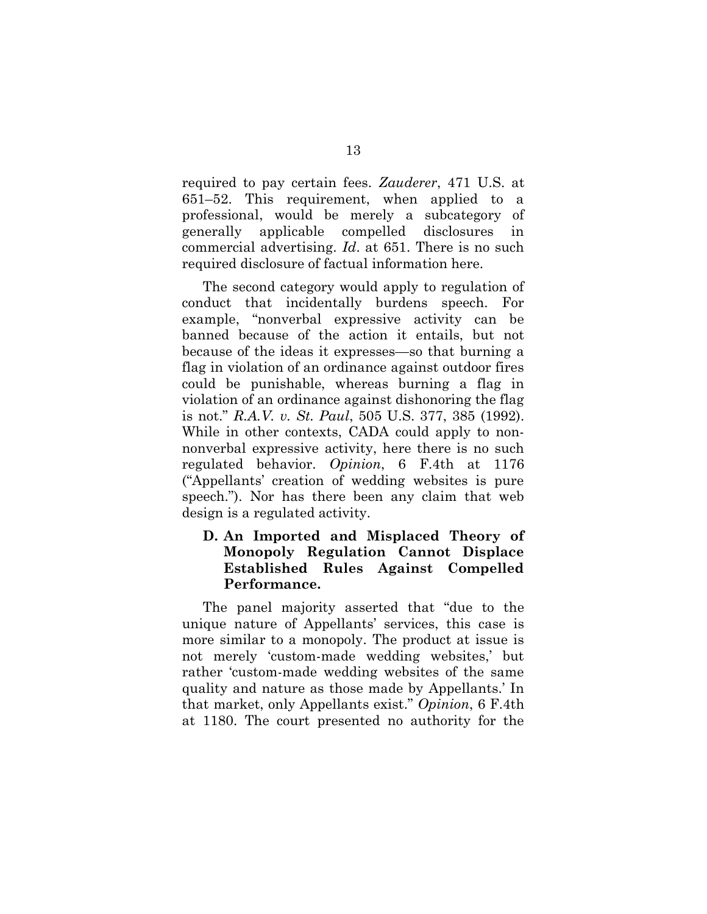required to pay certain fees. Zauderer, 471 U.S. at 651–52. This requirement, when applied to a professional, would be merely a subcategory of generally applicable compelled disclosures in commercial advertising. Id. at 651. There is no such required disclosure of factual information here.

The second category would apply to regulation of conduct that incidentally burdens speech. For example, "nonverbal expressive activity can be banned because of the action it entails, but not because of the ideas it expresses—so that burning a flag in violation of an ordinance against outdoor fires could be punishable, whereas burning a flag in violation of an ordinance against dishonoring the flag is not." R.A.V. v. St. Paul, 505 U.S. 377, 385 (1992). While in other contexts, CADA could apply to nonnonverbal expressive activity, here there is no such regulated behavior. Opinion, 6 F.4th at 1176 ("Appellants' creation of wedding websites is pure speech."). Nor has there been any claim that web design is a regulated activity.

### D. An Imported and Misplaced Theory of Monopoly Regulation Cannot Displace Established Rules Against Compelled Performance.

The panel majority asserted that "due to the unique nature of Appellants' services, this case is more similar to a monopoly. The product at issue is not merely 'custom-made wedding websites,' but rather 'custom-made wedding websites of the same quality and nature as those made by Appellants.' In that market, only Appellants exist." Opinion, 6 F.4th at 1180. The court presented no authority for the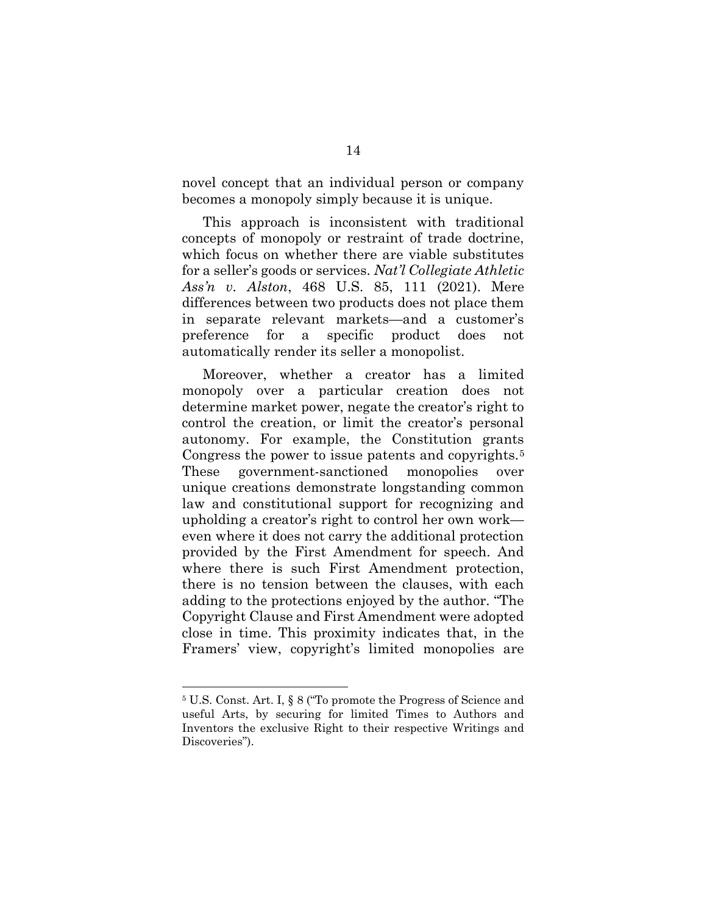novel concept that an individual person or company becomes a monopoly simply because it is unique.

This approach is inconsistent with traditional concepts of monopoly or restraint of trade doctrine, which focus on whether there are viable substitutes for a seller's goods or services. Nat'l Collegiate Athletic Ass'n v. Alston, 468 U.S. 85, 111 (2021). Mere differences between two products does not place them in separate relevant markets—and a customer's preference for a specific product does not automatically render its seller a monopolist.

Moreover, whether a creator has a limited monopoly over a particular creation does not determine market power, negate the creator's right to control the creation, or limit the creator's personal autonomy. For example, the Constitution grants Congress the power to issue patents and copyrights.<sup>5</sup> These government-sanctioned monopolies over unique creations demonstrate longstanding common law and constitutional support for recognizing and upholding a creator's right to control her own work even where it does not carry the additional protection provided by the First Amendment for speech. And where there is such First Amendment protection, there is no tension between the clauses, with each adding to the protections enjoyed by the author. "The Copyright Clause and First Amendment were adopted close in time. This proximity indicates that, in the Framers' view, copyright's limited monopolies are

<sup>5</sup> U.S. Const. Art. I, § 8 ("To promote the Progress of Science and useful Arts, by securing for limited Times to Authors and Inventors the exclusive Right to their respective Writings and Discoveries").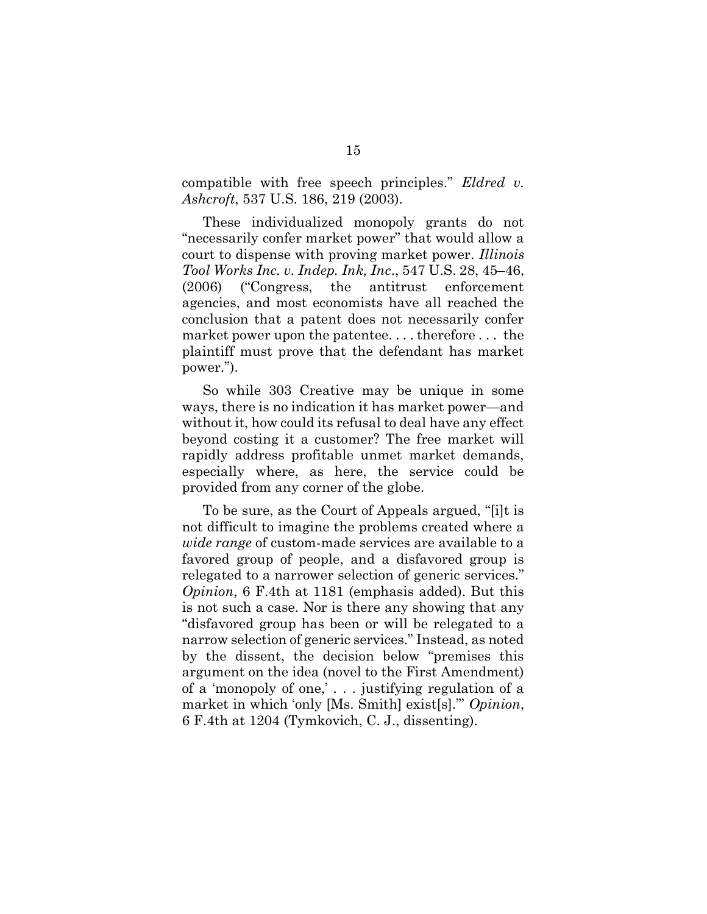compatible with free speech principles." Eldred v. Ashcroft, 537 U.S. 186, 219 (2003).

These individualized monopoly grants do not "necessarily confer market power" that would allow a court to dispense with proving market power. Illinois Tool Works Inc. v. Indep. Ink, Inc., 547 U.S. 28, 45–46, (2006) ("Congress, the antitrust enforcement agencies, and most economists have all reached the conclusion that a patent does not necessarily confer market power upon the patentee. . . . therefore . . . the plaintiff must prove that the defendant has market power.").

So while 303 Creative may be unique in some ways, there is no indication it has market power—and without it, how could its refusal to deal have any effect beyond costing it a customer? The free market will rapidly address profitable unmet market demands, especially where, as here, the service could be provided from any corner of the globe.

To be sure, as the Court of Appeals argued, "[i]t is not difficult to imagine the problems created where a wide range of custom-made services are available to a favored group of people, and a disfavored group is relegated to a narrower selection of generic services." Opinion, 6 F.4th at 1181 (emphasis added). But this is not such a case. Nor is there any showing that any "disfavored group has been or will be relegated to a narrow selection of generic services." Instead, as noted by the dissent, the decision below "premises this argument on the idea (novel to the First Amendment) of a 'monopoly of one,' . . . justifying regulation of a market in which 'only [Ms. Smith] exist[s].'" Opinion, 6 F.4th at 1204 (Tymkovich, C. J., dissenting).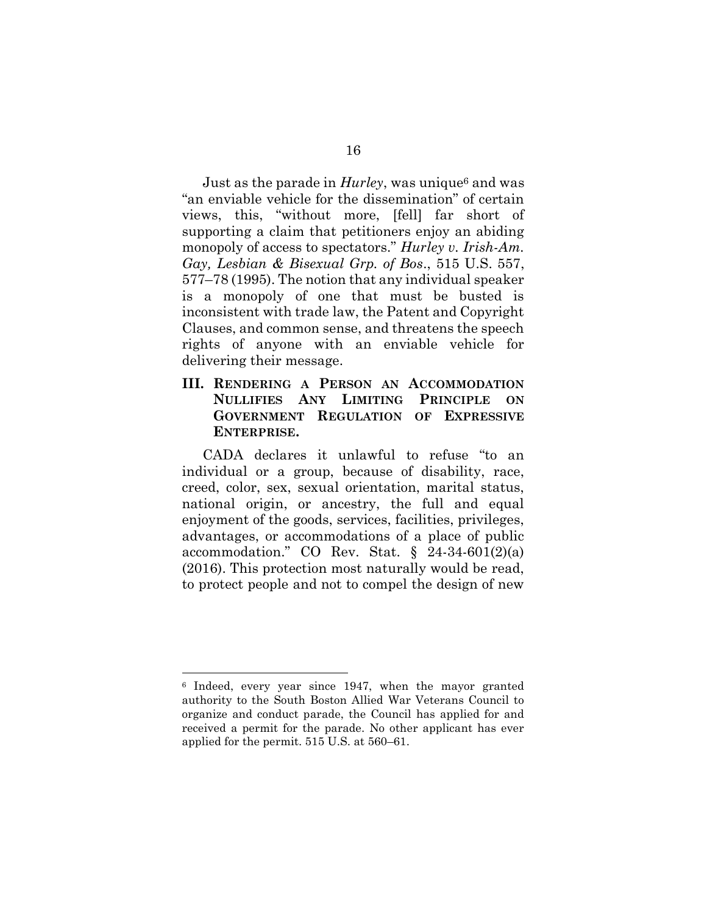Just as the parade in  $Hurley$ , was unique<sup>6</sup> and was "an enviable vehicle for the dissemination" of certain views, this, "without more, [fell] far short of supporting a claim that petitioners enjoy an abiding monopoly of access to spectators." Hurley v. Irish-Am. Gay, Lesbian & Bisexual Grp. of Bos., 515 U.S. 557, 577–78 (1995). The notion that any individual speaker is a monopoly of one that must be busted is inconsistent with trade law, the Patent and Copyright Clauses, and common sense, and threatens the speech rights of anyone with an enviable vehicle for delivering their message.

#### III. RENDERING A PERSON AN ACCOMMODATION NULLIFIES ANY LIMITING PRINCIPLE ON GOVERNMENT REGULATION OF EXPRESSIVE ENTERPRISE.

CADA declares it unlawful to refuse "to an individual or a group, because of disability, race, creed, color, sex, sexual orientation, marital status, national origin, or ancestry, the full and equal enjoyment of the goods, services, facilities, privileges, advantages, or accommodations of a place of public accommodation." CO Rev. Stat.  $\S$  24-34-601(2)(a) (2016). This protection most naturally would be read, to protect people and not to compel the design of new

<sup>6</sup> Indeed, every year since 1947, when the mayor granted authority to the South Boston Allied War Veterans Council to organize and conduct parade, the Council has applied for and received a permit for the parade. No other applicant has ever applied for the permit. 515 U.S. at 560–61.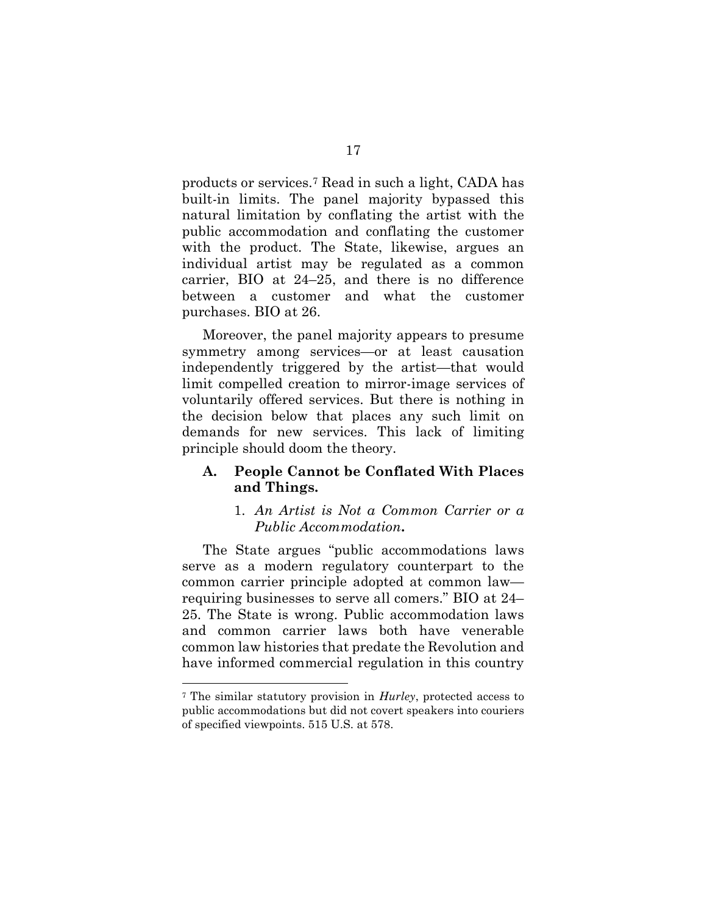products or services.7 Read in such a light, CADA has built-in limits. The panel majority bypassed this natural limitation by conflating the artist with the public accommodation and conflating the customer with the product. The State, likewise, argues an individual artist may be regulated as a common carrier, BIO at 24–25, and there is no difference between a customer and what the customer purchases. BIO at 26.

Moreover, the panel majority appears to presume symmetry among services—or at least causation independently triggered by the artist—that would limit compelled creation to mirror-image services of voluntarily offered services. But there is nothing in the decision below that places any such limit on demands for new services. This lack of limiting principle should doom the theory.

### A. People Cannot be Conflated With Places and Things.

### 1. An Artist is Not a Common Carrier or a Public Accommodation.

The State argues "public accommodations laws serve as a modern regulatory counterpart to the common carrier principle adopted at common law requiring businesses to serve all comers." BIO at 24– 25. The State is wrong. Public accommodation laws and common carrier laws both have venerable common law histories that predate the Revolution and have informed commercial regulation in this country

<sup>7</sup> The similar statutory provision in Hurley, protected access to public accommodations but did not covert speakers into couriers of specified viewpoints. 515 U.S. at 578.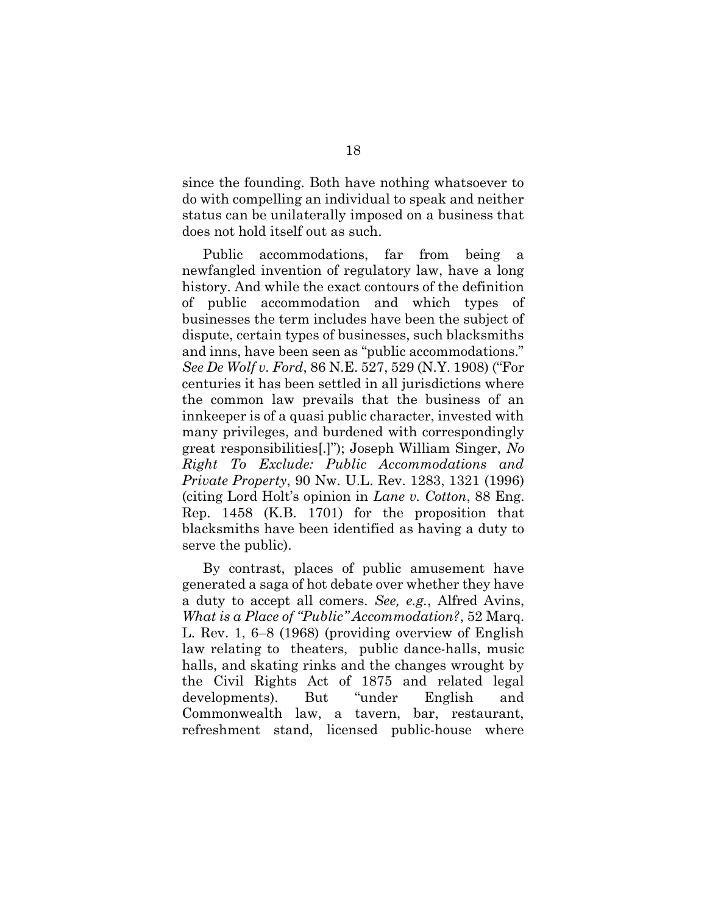since the founding. Both have nothing whatsoever to do with compelling an individual to speak and neither status can be unilaterally imposed on a business that does not hold itself out as such.

Public accommodations, far from being a newfangled invention of regulatory law, have a long history. And while the exact contours of the definition of public accommodation and which types of businesses the term includes have been the subject of dispute, certain types of businesses, such blacksmiths and inns, have been seen as "public accommodations." See De Wolf v. Ford, 86 N.E. 527, 529 (N.Y. 1908) ("For centuries it has been settled in all jurisdictions where the common law prevails that the business of an innkeeper is of a quasi public character, invested with many privileges, and burdened with correspondingly great responsibilities[.]"); Joseph William Singer, No Right To Exclude: Public Accommodations and Private Property, 90 Nw. U.L. Rev. 1283, 1321 (1996) (citing Lord Holt's opinion in Lane v. Cotton, 88 Eng. Rep. 1458 (K.B. 1701) for the proposition that blacksmiths have been identified as having a duty to serve the public).

By contrast, places of public amusement have generated a saga of hot debate over whether they have a duty to accept all comers. See, e.g., Alfred Avins, What is a Place of "Public" Accommodation?, 52 Marq. L. Rev. 1, 6–8 (1968) (providing overview of English law relating to theaters, public dance-halls, music halls, and skating rinks and the changes wrought by the Civil Rights Act of 1875 and related legal developments). But "under English and Commonwealth law, a tavern, bar, restaurant, refreshment stand, licensed public-house where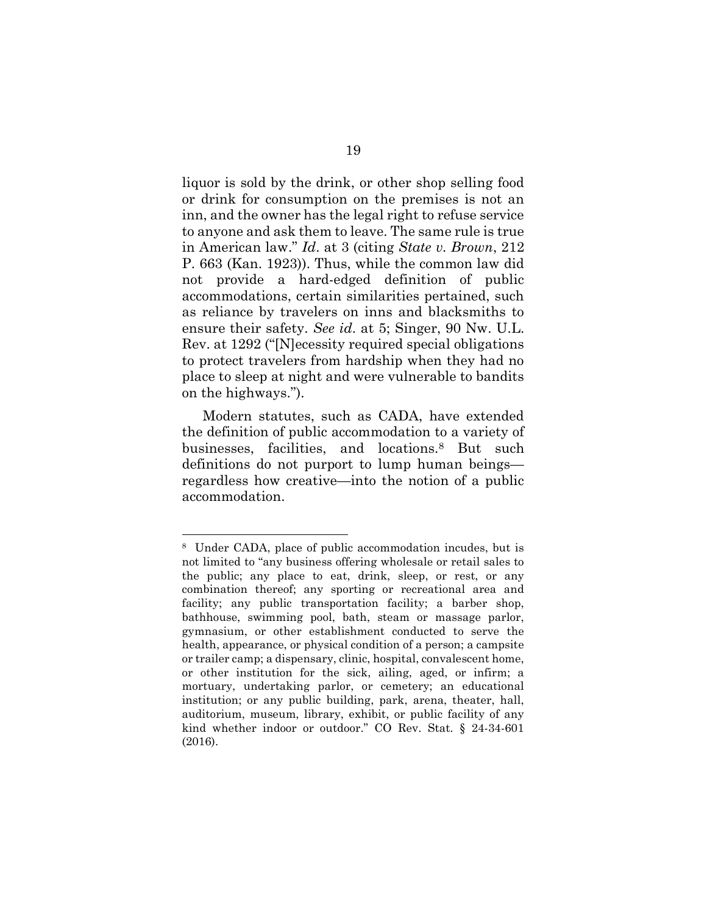liquor is sold by the drink, or other shop selling food or drink for consumption on the premises is not an inn, and the owner has the legal right to refuse service to anyone and ask them to leave. The same rule is true in American law." Id. at 3 (citing State v. Brown, 212 P. 663 (Kan. 1923)). Thus, while the common law did not provide a hard-edged definition of public accommodations, certain similarities pertained, such as reliance by travelers on inns and blacksmiths to ensure their safety. See id. at 5; Singer, 90 Nw. U.L. Rev. at 1292 ("[N]ecessity required special obligations to protect travelers from hardship when they had no place to sleep at night and were vulnerable to bandits on the highways.").

Modern statutes, such as CADA, have extended the definition of public accommodation to a variety of businesses, facilities, and locations.8 But such definitions do not purport to lump human beings regardless how creative—into the notion of a public accommodation.

<sup>8</sup> Under CADA, place of public accommodation incudes, but is not limited to "any business offering wholesale or retail sales to the public; any place to eat, drink, sleep, or rest, or any combination thereof; any sporting or recreational area and facility; any public transportation facility; a barber shop, bathhouse, swimming pool, bath, steam or massage parlor, gymnasium, or other establishment conducted to serve the health, appearance, or physical condition of a person; a campsite or trailer camp; a dispensary, clinic, hospital, convalescent home, or other institution for the sick, ailing, aged, or infirm; a mortuary, undertaking parlor, or cemetery; an educational institution; or any public building, park, arena, theater, hall, auditorium, museum, library, exhibit, or public facility of any kind whether indoor or outdoor." CO Rev. Stat. § 24-34-601 (2016).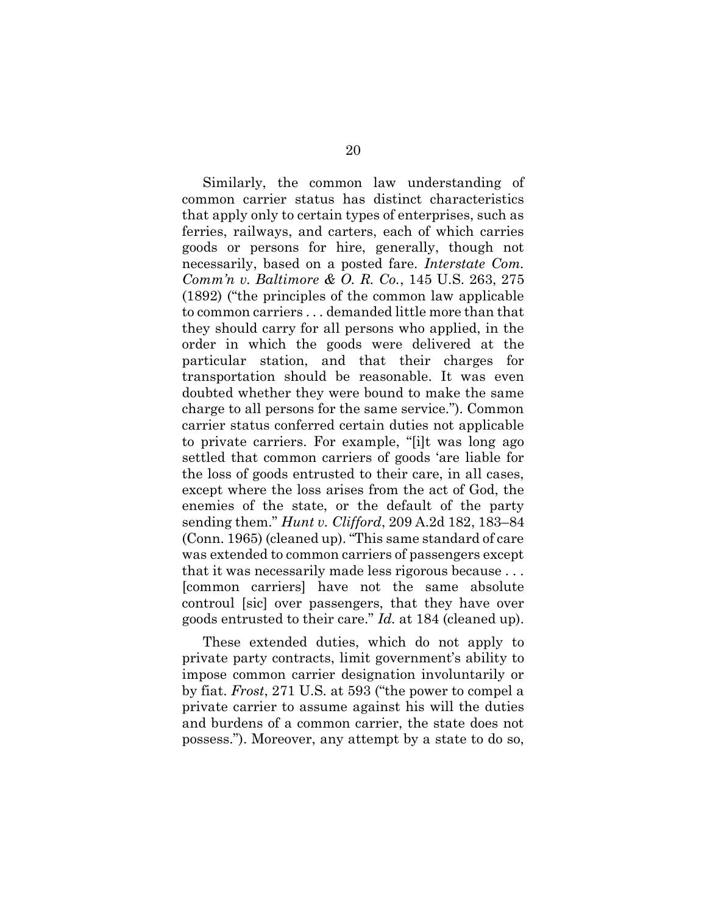Similarly, the common law understanding of common carrier status has distinct characteristics that apply only to certain types of enterprises, such as ferries, railways, and carters, each of which carries goods or persons for hire, generally, though not necessarily, based on a posted fare. Interstate Com. Comm'n v. Baltimore & O. R. Co., 145 U.S. 263, 275 (1892) ("the principles of the common law applicable to common carriers . . . demanded little more than that they should carry for all persons who applied, in the order in which the goods were delivered at the particular station, and that their charges for transportation should be reasonable. It was even doubted whether they were bound to make the same charge to all persons for the same service."). Common carrier status conferred certain duties not applicable to private carriers. For example, "[i]t was long ago settled that common carriers of goods 'are liable for the loss of goods entrusted to their care, in all cases, except where the loss arises from the act of God, the enemies of the state, or the default of the party sending them." Hunt v. Clifford, 209 A.2d 182, 183–84 (Conn. 1965) (cleaned up). "This same standard of care was extended to common carriers of passengers except that it was necessarily made less rigorous because . . . [common carriers] have not the same absolute controul [sic] over passengers, that they have over goods entrusted to their care." Id. at 184 (cleaned up).

These extended duties, which do not apply to private party contracts, limit government's ability to impose common carrier designation involuntarily or by fiat. Frost, 271 U.S. at 593 ("the power to compel a private carrier to assume against his will the duties and burdens of a common carrier, the state does not possess."). Moreover, any attempt by a state to do so,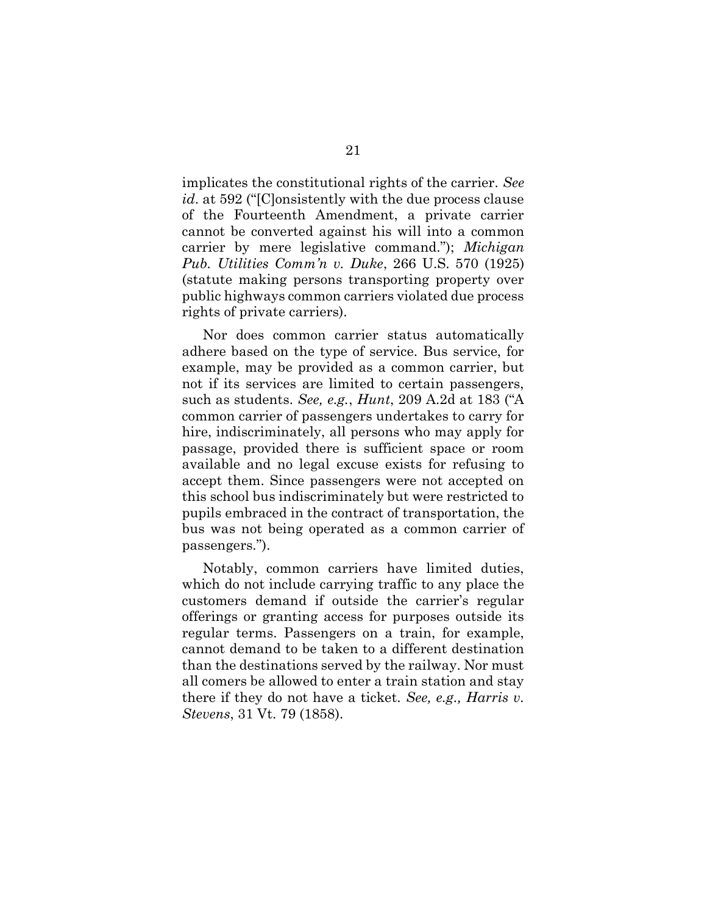implicates the constitutional rights of the carrier. See id. at 592 ("[C]onsistently with the due process clause of the Fourteenth Amendment, a private carrier cannot be converted against his will into a common carrier by mere legislative command."); Michigan Pub. Utilities Comm'n v. Duke, 266 U.S. 570 (1925) (statute making persons transporting property over public highways common carriers violated due process rights of private carriers).

Nor does common carrier status automatically adhere based on the type of service. Bus service, for example, may be provided as a common carrier, but not if its services are limited to certain passengers, such as students. See, e.g., Hunt, 209 A.2d at 183 ("A common carrier of passengers undertakes to carry for hire, indiscriminately, all persons who may apply for passage, provided there is sufficient space or room available and no legal excuse exists for refusing to accept them. Since passengers were not accepted on this school bus indiscriminately but were restricted to pupils embraced in the contract of transportation, the bus was not being operated as a common carrier of passengers.").

Notably, common carriers have limited duties, which do not include carrying traffic to any place the customers demand if outside the carrier's regular offerings or granting access for purposes outside its regular terms. Passengers on a train, for example, cannot demand to be taken to a different destination than the destinations served by the railway. Nor must all comers be allowed to enter a train station and stay there if they do not have a ticket. See, e.g., Harris v. Stevens, 31 Vt. 79 (1858).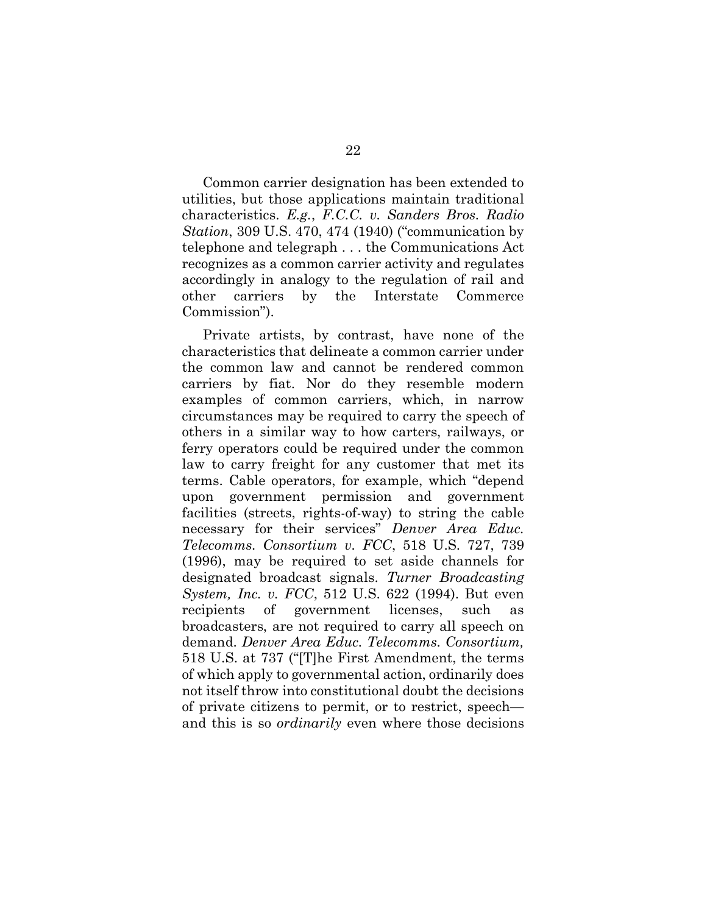Common carrier designation has been extended to utilities, but those applications maintain traditional characteristics. E.g., F.C.C. v. Sanders Bros. Radio Station, 309 U.S. 470, 474 (1940) ("communication by telephone and telegraph . . . the Communications Act recognizes as a common carrier activity and regulates accordingly in analogy to the regulation of rail and other carriers by the Interstate Commerce Commission").

Private artists, by contrast, have none of the characteristics that delineate a common carrier under the common law and cannot be rendered common carriers by fiat. Nor do they resemble modern examples of common carriers, which, in narrow circumstances may be required to carry the speech of others in a similar way to how carters, railways, or ferry operators could be required under the common law to carry freight for any customer that met its terms. Cable operators, for example, which "depend upon government permission and government facilities (streets, rights-of-way) to string the cable necessary for their services" Denver Area Educ. Telecomms. Consortium v. FCC, 518 U.S. 727, 739 (1996), may be required to set aside channels for designated broadcast signals. Turner Broadcasting System, Inc. v. FCC, 512 U.S. 622 (1994). But even recipients of government licenses, such as broadcasters, are not required to carry all speech on demand. Denver Area Educ. Telecomms. Consortium, 518 U.S. at 737 ("[T]he First Amendment, the terms of which apply to governmental action, ordinarily does not itself throw into constitutional doubt the decisions of private citizens to permit, or to restrict, speech and this is so ordinarily even where those decisions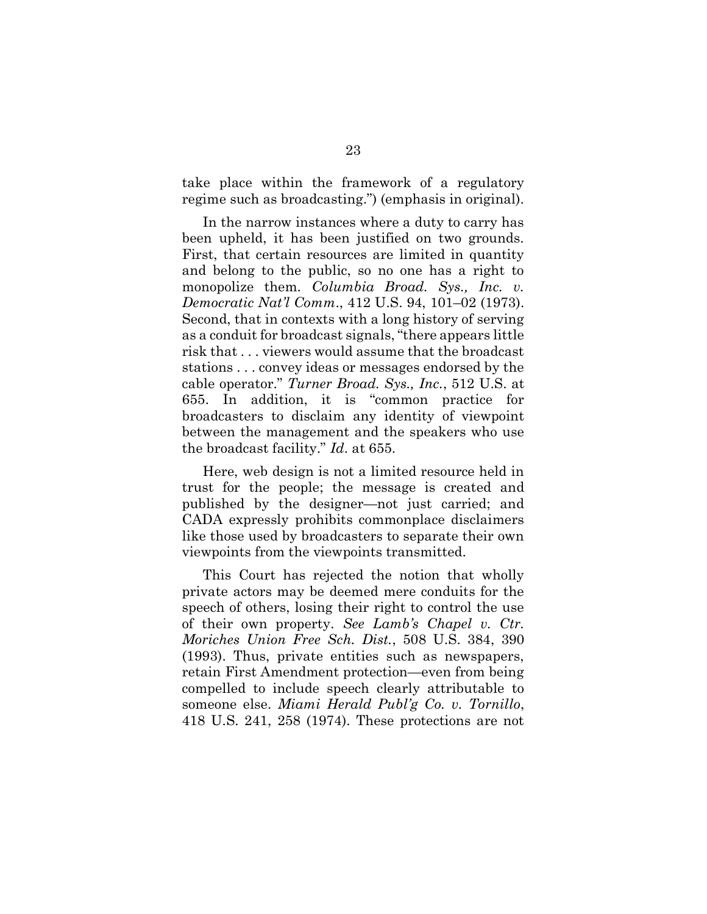take place within the framework of a regulatory regime such as broadcasting.") (emphasis in original).

In the narrow instances where a duty to carry has been upheld, it has been justified on two grounds. First, that certain resources are limited in quantity and belong to the public, so no one has a right to monopolize them. Columbia Broad. Sys., Inc. v. Democratic Nat'l Comm., 412 U.S. 94, 101–02 (1973). Second, that in contexts with a long history of serving as a conduit for broadcast signals, "there appears little risk that . . . viewers would assume that the broadcast stations . . . convey ideas or messages endorsed by the cable operator." Turner Broad. Sys., Inc., 512 U.S. at 655. In addition, it is "common practice for broadcasters to disclaim any identity of viewpoint between the management and the speakers who use the broadcast facility." Id. at 655.

Here, web design is not a limited resource held in trust for the people; the message is created and published by the designer—not just carried; and CADA expressly prohibits commonplace disclaimers like those used by broadcasters to separate their own viewpoints from the viewpoints transmitted.

This Court has rejected the notion that wholly private actors may be deemed mere conduits for the speech of others, losing their right to control the use of their own property. See Lamb's Chapel v. Ctr. Moriches Union Free Sch. Dist., 508 U.S. 384, 390 (1993). Thus, private entities such as newspapers, retain First Amendment protection—even from being compelled to include speech clearly attributable to someone else. Miami Herald Publ'g Co. v. Tornillo, 418 U.S. 241, 258 (1974). These protections are not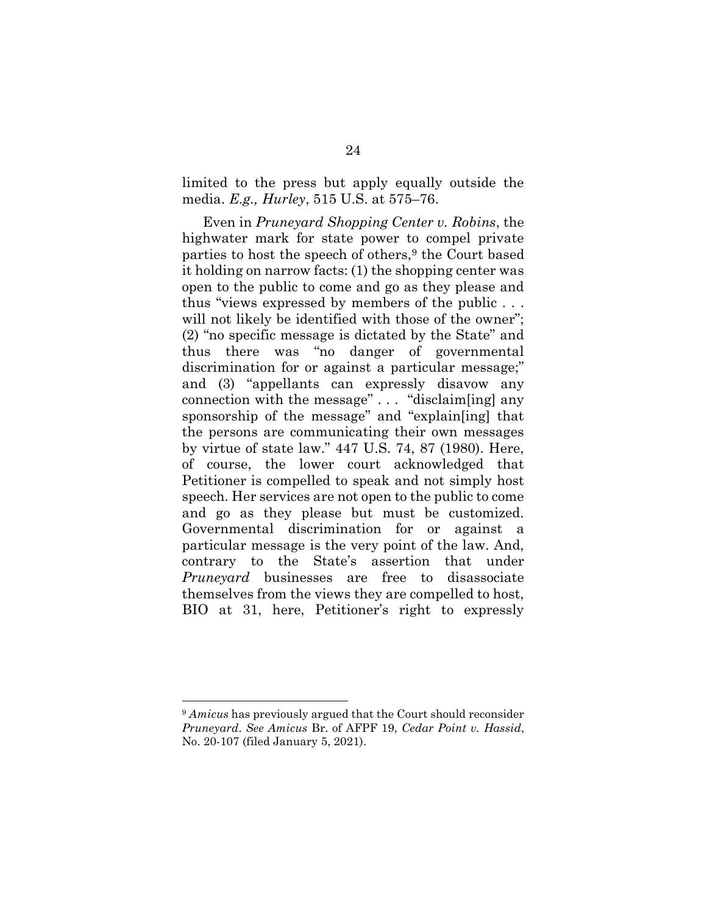limited to the press but apply equally outside the media. E.g., Hurley, 515 U.S. at 575–76.

Even in Pruneyard Shopping Center v. Robins, the highwater mark for state power to compel private parties to host the speech of others,<sup>9</sup> the Court based it holding on narrow facts: (1) the shopping center was open to the public to come and go as they please and thus "views expressed by members of the public . . . will not likely be identified with those of the owner"; (2) "no specific message is dictated by the State" and thus there was "no danger of governmental discrimination for or against a particular message;" and (3) "appellants can expressly disavow any connection with the message" . . . "disclaim[ing] any sponsorship of the message" and "explain[ing] that the persons are communicating their own messages by virtue of state law." 447 U.S. 74, 87 (1980). Here, of course, the lower court acknowledged that Petitioner is compelled to speak and not simply host speech. Her services are not open to the public to come and go as they please but must be customized. Governmental discrimination for or against a particular message is the very point of the law. And, contrary to the State's assertion that under Pruneyard businesses are free to disassociate themselves from the views they are compelled to host, BIO at 31, here, Petitioner's right to expressly

<sup>&</sup>lt;sup>9</sup> Amicus has previously argued that the Court should reconsider Pruneyard. See Amicus Br. of AFPF 19, Cedar Point v. Hassid, No. 20-107 (filed January 5, 2021).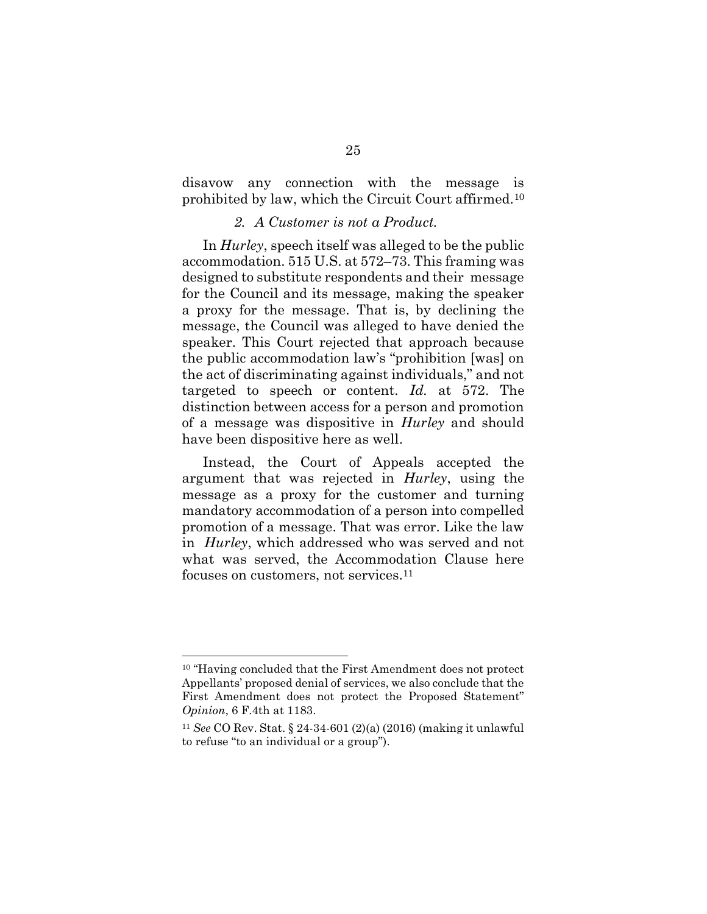disavow any connection with the message is prohibited by law, which the Circuit Court affirmed.<sup>10</sup>

#### 2. A Customer is not a Product.

In Hurley, speech itself was alleged to be the public accommodation. 515 U.S. at 572–73. This framing was designed to substitute respondents and their message for the Council and its message, making the speaker a proxy for the message. That is, by declining the message, the Council was alleged to have denied the speaker. This Court rejected that approach because the public accommodation law's "prohibition [was] on the act of discriminating against individuals," and not targeted to speech or content. Id. at 572. The distinction between access for a person and promotion of a message was dispositive in Hurley and should have been dispositive here as well.

Instead, the Court of Appeals accepted the argument that was rejected in Hurley, using the message as a proxy for the customer and turning mandatory accommodation of a person into compelled promotion of a message. That was error. Like the law in Hurley, which addressed who was served and not what was served, the Accommodation Clause here focuses on customers, not services.<sup>11</sup>

<sup>10</sup> "Having concluded that the First Amendment does not protect Appellants' proposed denial of services, we also conclude that the First Amendment does not protect the Proposed Statement" Opinion, 6 F.4th at 1183.

<sup>11</sup> See CO Rev. Stat. § 24-34-601 (2)(a) (2016) (making it unlawful to refuse "to an individual or a group").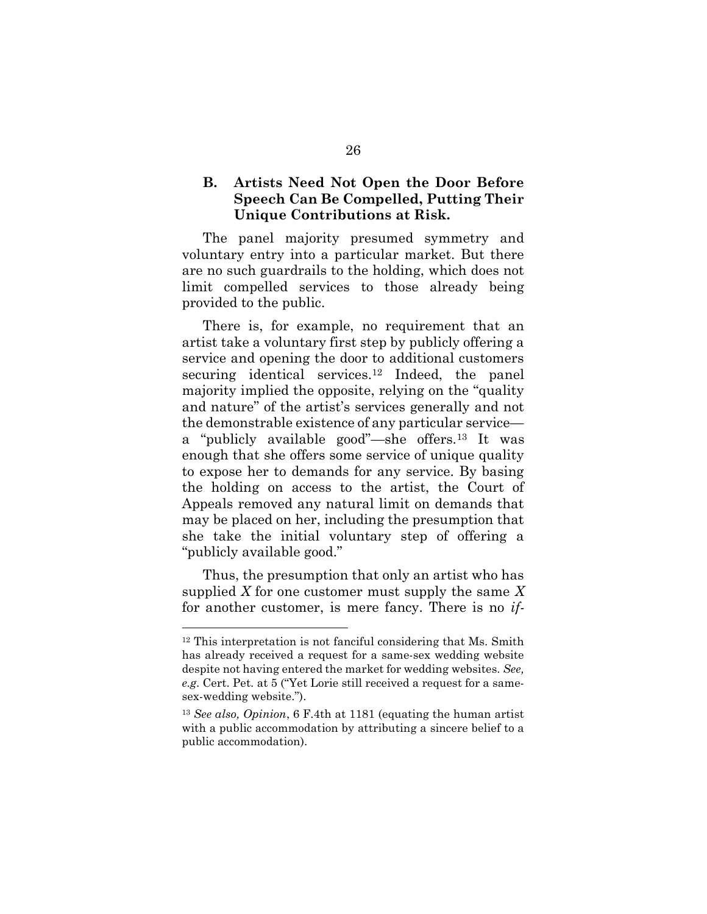#### B. Artists Need Not Open the Door Before Speech Can Be Compelled, Putting Their Unique Contributions at Risk.

The panel majority presumed symmetry and voluntary entry into a particular market. But there are no such guardrails to the holding, which does not limit compelled services to those already being provided to the public.

There is, for example, no requirement that an artist take a voluntary first step by publicly offering a service and opening the door to additional customers securing identical services.12 Indeed, the panel majority implied the opposite, relying on the "quality and nature" of the artist's services generally and not the demonstrable existence of any particular service a "publicly available good"—she offers.13 It was enough that she offers some service of unique quality to expose her to demands for any service. By basing the holding on access to the artist, the Court of Appeals removed any natural limit on demands that may be placed on her, including the presumption that she take the initial voluntary step of offering a "publicly available good."

Thus, the presumption that only an artist who has supplied X for one customer must supply the same X for another customer, is mere fancy. There is no if-

<sup>12</sup> This interpretation is not fanciful considering that Ms. Smith has already received a request for a same-sex wedding website despite not having entered the market for wedding websites. See, e.g. Cert. Pet. at 5 ("Yet Lorie still received a request for a samesex-wedding website.").

<sup>13</sup> See also, Opinion, 6 F.4th at 1181 (equating the human artist with a public accommodation by attributing a sincere belief to a public accommodation).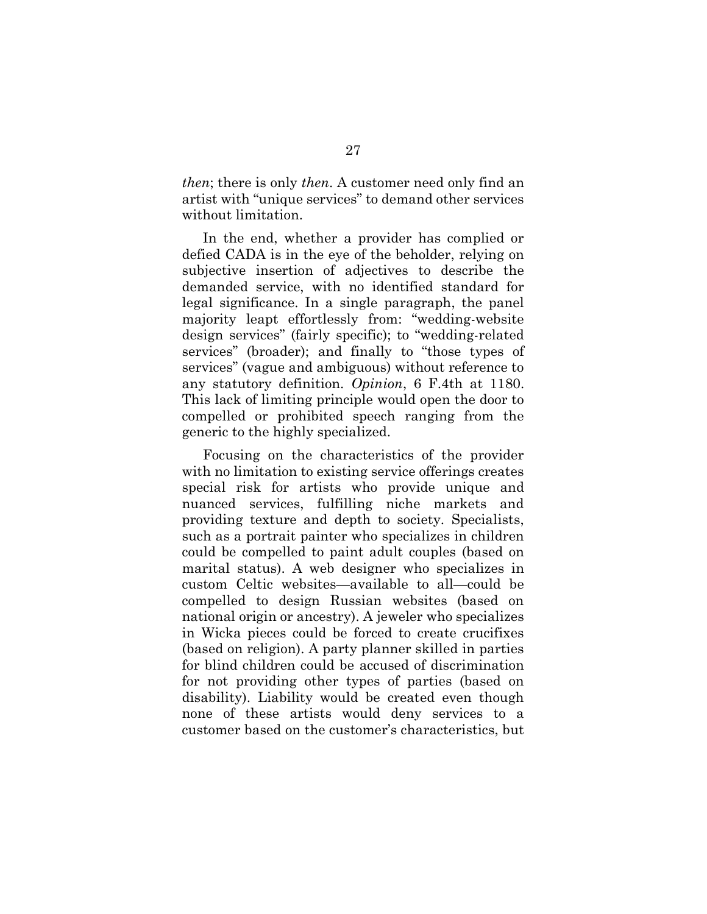then; there is only then. A customer need only find an artist with "unique services" to demand other services without limitation.

In the end, whether a provider has complied or defied CADA is in the eye of the beholder, relying on subjective insertion of adjectives to describe the demanded service, with no identified standard for legal significance. In a single paragraph, the panel majority leapt effortlessly from: "wedding-website design services" (fairly specific); to "wedding-related services" (broader); and finally to "those types of services" (vague and ambiguous) without reference to any statutory definition. Opinion, 6 F.4th at 1180. This lack of limiting principle would open the door to compelled or prohibited speech ranging from the generic to the highly specialized.

Focusing on the characteristics of the provider with no limitation to existing service offerings creates special risk for artists who provide unique and nuanced services, fulfilling niche markets and providing texture and depth to society. Specialists, such as a portrait painter who specializes in children could be compelled to paint adult couples (based on marital status). A web designer who specializes in custom Celtic websites—available to all—could be compelled to design Russian websites (based on national origin or ancestry). A jeweler who specializes in Wicka pieces could be forced to create crucifixes (based on religion). A party planner skilled in parties for blind children could be accused of discrimination for not providing other types of parties (based on disability). Liability would be created even though none of these artists would deny services to a customer based on the customer's characteristics, but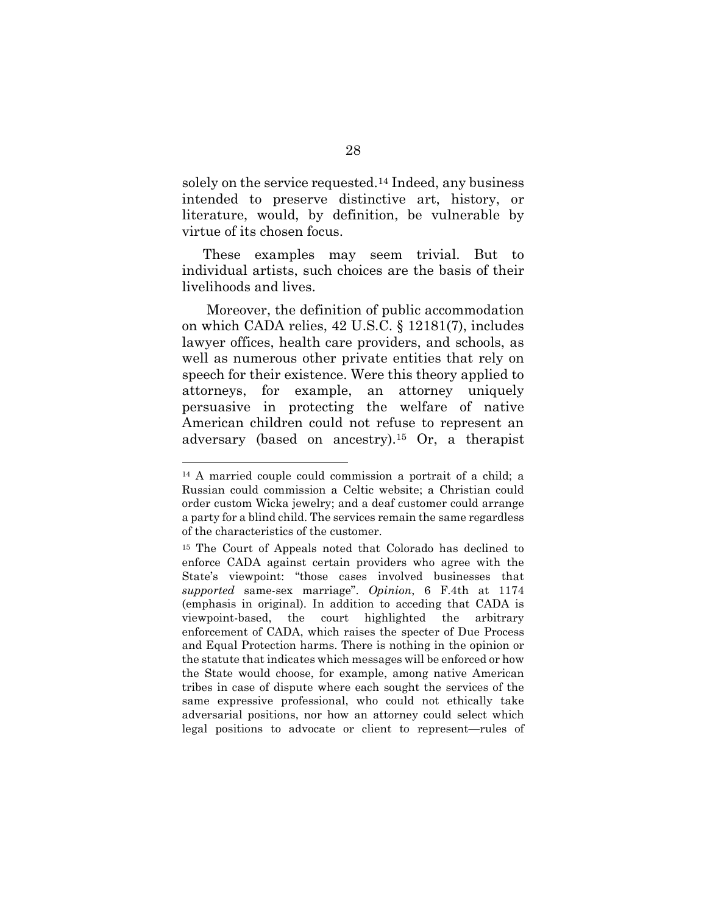solely on the service requested.14 Indeed, any business intended to preserve distinctive art, history, or literature, would, by definition, be vulnerable by virtue of its chosen focus.

These examples may seem trivial. But to individual artists, such choices are the basis of their livelihoods and lives.

 Moreover, the definition of public accommodation on which CADA relies, 42 U.S.C. § 12181(7), includes lawyer offices, health care providers, and schools, as well as numerous other private entities that rely on speech for their existence. Were this theory applied to attorneys, for example, an attorney uniquely persuasive in protecting the welfare of native American children could not refuse to represent an adversary (based on ancestry).15 Or, a therapist

<sup>14</sup> A married couple could commission a portrait of a child; a Russian could commission a Celtic website; a Christian could order custom Wicka jewelry; and a deaf customer could arrange a party for a blind child. The services remain the same regardless of the characteristics of the customer.

<sup>15</sup> The Court of Appeals noted that Colorado has declined to enforce CADA against certain providers who agree with the State's viewpoint: "those cases involved businesses that supported same-sex marriage". Opinion, 6 F.4th at 1174 (emphasis in original). In addition to acceding that CADA is viewpoint-based, the court highlighted the arbitrary enforcement of CADA, which raises the specter of Due Process and Equal Protection harms. There is nothing in the opinion or the statute that indicates which messages will be enforced or how the State would choose, for example, among native American tribes in case of dispute where each sought the services of the same expressive professional, who could not ethically take adversarial positions, nor how an attorney could select which legal positions to advocate or client to represent—rules of